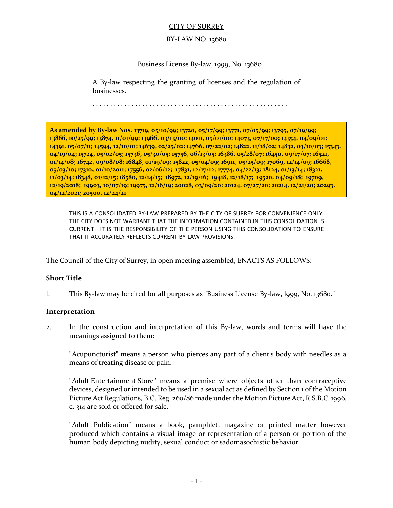### CITY OF SURREY

### BY-LAW NO. 13680

### Business License By-law, 1999, No. 13680

A By-law respecting the granting of licenses and the regulation of businesses.

. . . . . . . . . . . . . . . . . . . . . . . . . . . . . . . . . . . . . . . . . . . . . . . . . . . . . . .

**As amended by By-law Nos. 13719, 05/10/99; 13720, 05/17/99; 13771, 07/05/99; 13795, 07/19/99; 13866, 10/25/99; 13874, 11/01/99; 13966, 03/13/00; 14011, 05/01/00; 14073, 07/17/00; 14354, 04/09/01; 14391, 05/07/11; 14594, 12/10/01; 14639, 02/25/02; 14766, 07/22/02; 14822, 11/18/02; 14832, 03/10/03; 15343, 04/19/04; 15724, 05/02/05; 15736, 05/30/05; 15756, 06/13/05; 16386, 05/28/07; 16450, 09/17/07; 16521, 01/14/08; 16742, 09/08/08; 16848, 01/19/09; 15822, 05/04/09; 16911, 05/25/09; 17069, 12/14/09; 16668, 05/03/10; 17310, 01/10/2011; 17556, 02/06/12; 17831, 12/17/12; 17774, 04/22/13; 18124, 01/13/14; 18321, 11/03/14; 18348, 01/12/15; 18580, 12/14/15; 18972, 12/19/16; 19418, 12/18/17; 19520, 04/09/18; 19709, 12/19/2018; 19903, 10/07/19; 19975, 12/16/19; 20028, 03/09/20; 20124, 07/27/20; 20214, 12/21/20; 20293, 04/12/2021; 20500, 12/24/21**

THIS IS A CONSOLIDATED BY-LAW PREPARED BY THE CITY OF SURREY FOR CONVENIENCE ONLY. THE CITY DOES NOT WARRANT THAT THE INFORMATION CONTAINED IN THIS CONSOLIDATION IS CURRENT. IT IS THE RESPONSIBILITY OF THE PERSON USING THIS CONSOLIDATION TO ENSURE THAT IT ACCURATELY REFLECTS CURRENT BY-LAW PROVISIONS.

The Council of the City of Surrey, in open meeting assembled, ENACTS AS FOLLOWS:

### **Short Title**

l. This By-law may be cited for all purposes as "Business License By-law, l999, No. 13680."

### **Interpretation**

2. In the construction and interpretation of this By-law, words and terms will have the meanings assigned to them:

"Acupuncturist" means a person who pierces any part of a client's body with needles as a means of treating disease or pain.

"Adult Entertainment Store" means a premise where objects other than contraceptive devices, designed or intended to be used in a sexual act as defined by Section 1 of the Motion Picture Act Regulations, B.C. Reg. 260/86 made under the Motion Picture Act, R.S.B.C. 1996, c. 314 are sold or offered for sale.

"Adult Publication" means a book, pamphlet, magazine or printed matter however produced which contains a visual image or representation of a person or portion of the human body depicting nudity, sexual conduct or sadomasochistic behavior.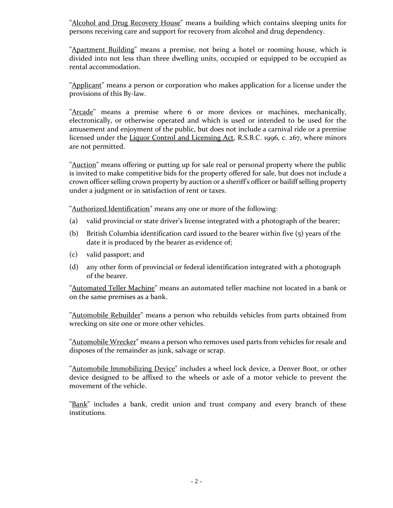"Alcohol and Drug Recovery House" means a building which contains sleeping units for persons receiving care and support for recovery from alcohol and drug dependency.

"Apartment Building" means a premise, not being a hotel or rooming house, which is divided into not less than three dwelling units, occupied or equipped to be occupied as rental accommodation.

"Applicant" means a person or corporation who makes application for a license under the provisions of this By-law.

"Arcade" means a premise where 6 or more devices or machines, mechanically, electronically, or otherwise operated and which is used or intended to be used for the amusement and enjoyment of the public, but does not include a carnival ride or a premise licensed under the Liquor Control and Licensing Act, R.S.B.C. 1996, c. 267, where minors are not permitted.

"Auction" means offering or putting up for sale real or personal property where the public is invited to make competitive bids for the property offered for sale, but does not include a crown officer selling crown property by auction or a sheriff's officer or bailiff selling property under a judgment or in satisfaction of rent or taxes.

"Authorized Identification" means any one or more of the following:

- (a) valid provincial or state driver's license integrated with a photograph of the bearer;
- (b) British Columbia identification card issued to the bearer within five (5) years of the date it is produced by the bearer as evidence of;
- (c) valid passport; and
- (d) any other form of provincial or federal identification integrated with a photograph of the bearer.

"Automated Teller Machine" means an automated teller machine not located in a bank or on the same premises as a bank.

"Automobile Rebuilder" means a person who rebuilds vehicles from parts obtained from wrecking on site one or more other vehicles.

"Automobile Wrecker" means a person who removes used parts from vehicles for resale and disposes of the remainder as junk, salvage or scrap.

"Automobile Immobilizing Device" includes a wheel lock device, a Denver Boot, or other device designed to be affixed to the wheels or axle of a motor vehicle to prevent the movement of the vehicle.

"Bank" includes a bank, credit union and trust company and every branch of these institutions.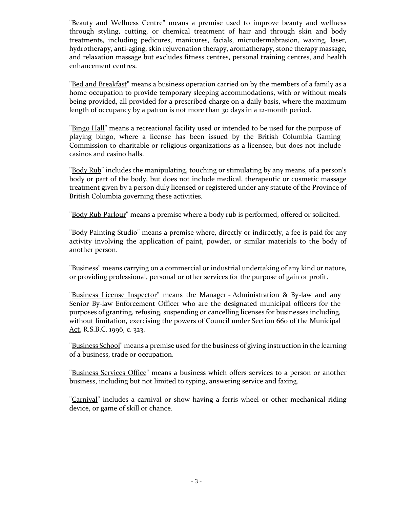"Beauty and Wellness Centre" means a premise used to improve beauty and wellness through styling, cutting, or chemical treatment of hair and through skin and body treatments, including pedicures, manicures, facials, microdermabrasion, waxing, laser, hydrotherapy, anti-aging, skin rejuvenation therapy, aromatherapy, stone therapy massage, and relaxation massage but excludes fitness centres, personal training centres, and health enhancement centres.

"Bed and Breakfast" means a business operation carried on by the members of a family as a home occupation to provide temporary sleeping accommodations, with or without meals being provided, all provided for a prescribed charge on a daily basis, where the maximum length of occupancy by a patron is not more than 30 days in a 12-month period.

"Bingo Hall" means a recreational facility used or intended to be used for the purpose of playing bingo, where a license has been issued by the British Columbia Gaming Commission to charitable or religious organizations as a licensee, but does not include casinos and casino halls.

"Body Rub" includes the manipulating, touching or stimulating by any means, of a person's body or part of the body, but does not include medical, therapeutic or cosmetic massage treatment given by a person duly licensed or registered under any statute of the Province of British Columbia governing these activities.

"Body Rub Parlour" means a premise where a body rub is performed, offered or solicited.

"Body Painting Studio" means a premise where, directly or indirectly, a fee is paid for any activity involving the application of paint, powder, or similar materials to the body of another person.

"Business" means carrying on a commercial or industrial undertaking of any kind or nature, or providing professional, personal or other services for the purpose of gain or profit.

"Business License Inspector" means the Manager - Administration & By-law and any Senior By-law Enforcement Officer who are the designated municipal officers for the purposes of granting, refusing, suspending or cancelling licenses for businesses including, without limitation, exercising the powers of Council under Section 660 of the Municipal Act, R.S.B.C. 1996, c. 323.

"Business School" means a premise used for the business of giving instruction in the learning of a business, trade or occupation.

"Business Services Office" means a business which offers services to a person or another business, including but not limited to typing, answering service and faxing.

"Carnival" includes a carnival or show having a ferris wheel or other mechanical riding device, or game of skill or chance.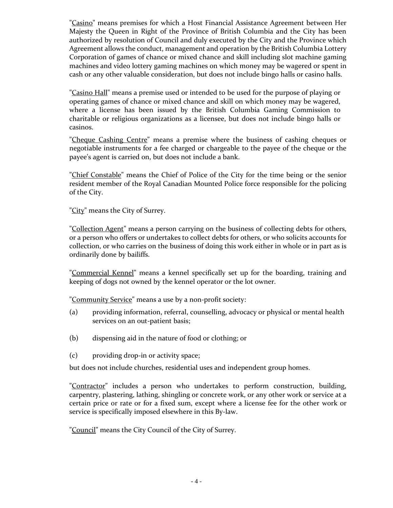"Casino" means premises for which a Host Financial Assistance Agreement between Her Majesty the Queen in Right of the Province of British Columbia and the City has been authorized by resolution of Council and duly executed by the City and the Province which Agreement allows the conduct, management and operation by the British Columbia Lottery Corporation of games of chance or mixed chance and skill including slot machine gaming machines and video lottery gaming machines on which money may be wagered or spent in cash or any other valuable consideration, but does not include bingo halls or casino halls.

"Casino Hall" means a premise used or intended to be used for the purpose of playing or operating games of chance or mixed chance and skill on which money may be wagered, where a license has been issued by the British Columbia Gaming Commission to charitable or religious organizations as a licensee, but does not include bingo halls or casinos.

"Cheque Cashing Centre" means a premise where the business of cashing cheques or negotiable instruments for a fee charged or chargeable to the payee of the cheque or the payee's agent is carried on, but does not include a bank.

"Chief Constable" means the Chief of Police of the City for the time being or the senior resident member of the Royal Canadian Mounted Police force responsible for the policing of the City.

"City" means the City of Surrey.

"Collection Agent" means a person carrying on the business of collecting debts for others, or a person who offers or undertakes to collect debts for others, or who solicits accounts for collection, or who carries on the business of doing this work either in whole or in part as is ordinarily done by bailiffs.

"Commercial Kennel" means a kennel specifically set up for the boarding, training and keeping of dogs not owned by the kennel operator or the lot owner.

"Community Service" means a use by a non-profit society:

- (a) providing information, referral, counselling, advocacy or physical or mental health services on an out-patient basis;
- (b) dispensing aid in the nature of food or clothing; or
- (c) providing drop-in or activity space;

but does not include churches, residential uses and independent group homes.

"Contractor" includes a person who undertakes to perform construction, building, carpentry, plastering, lathing, shingling or concrete work, or any other work or service at a certain price or rate or for a fixed sum, except where a license fee for the other work or service is specifically imposed elsewhere in this By-law.

"Council" means the City Council of the City of Surrey.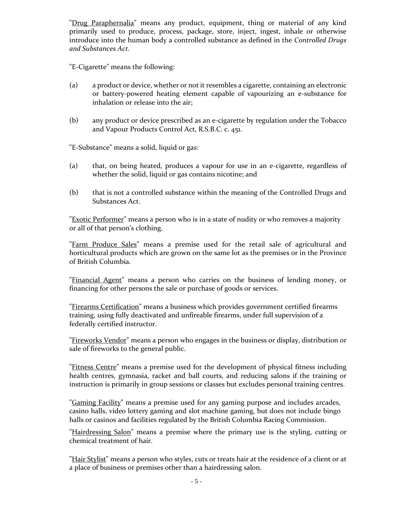"Drug Paraphernalia" means any product, equipment, thing or material of any kind primarily used to produce, process, package, store, inject, ingest, inhale or otherwise introduce into the human body a controlled substance as defined in the *Controlled Drugs and Substances Act.*

"E-Cigarette" means the following:

- (a) a product or device, whether or not it resembles a cigarette, containing an electronic or battery-powered heating element capable of vapourizing an e-substance for inhalation or release into the air;
- (b) any product or device prescribed as an e-cigarette by regulation under the Tobacco and Vapour Products Control Act, R.S.B.C. c. 451.

"E-Substance" means a solid, liquid or gas:

- (a) that, on being heated, produces a vapour for use in an e-cigarette, regardless of whether the solid, liquid or gas contains nicotine; and
- (b) that is not a controlled substance within the meaning of the Controlled Drugs and Substances Act.

"Exotic Performer" means a person who is in a state of nudity or who removes a majority or all of that person's clothing.

"Farm Produce Sales" means a premise used for the retail sale of agricultural and horticultural products which are grown on the same lot as the premises or in the Province of British Columbia.

"Financial Agent" means a person who carries on the business of lending money, or financing for other persons the sale or purchase of goods or services.

"Firearms Certification" means a business which provides government certified firearms training, using fully deactivated and unfireable firearms, under full supervision of a federally certified instructor.

"Fireworks Vendor" means a person who engages in the business or display, distribution or sale of fireworks to the general public.

"Fitness Centre" means a premise used for the development of physical fitness including health centres, gymnasia, racket and ball courts, and reducing salons if the training or instruction is primarily in group sessions or classes but excludes personal training centres.

"Gaming Facility" means a premise used for any gaming purpose and includes arcades, casino halls, video lottery gaming and slot machine gaming, but does not include bingo halls or casinos and facilities regulated by the British Columbia Racing Commission.

"Hairdressing Salon" means a premise where the primary use is the styling, cutting or chemical treatment of hair.

"Hair Stylist" means a person who styles, cuts or treats hair at the residence of a client or at a place of business or premises other than a hairdressing salon.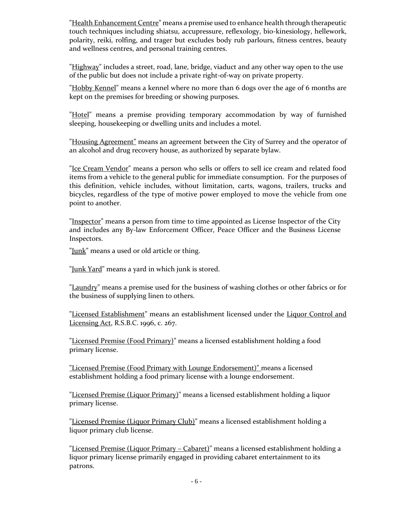"Health Enhancement Centre" means a premise used to enhance health through therapeutic touch techniques including shiatsu, accupressure, reflexology, bio-kinesiology, hellework, polarity, reiki, rolfing, and trager but excludes body rub parlours, fitness centres, beauty and wellness centres, and personal training centres.

"Highway" includes a street, road, lane, bridge, viaduct and any other way open to the use of the public but does not include a private right-of-way on private property.

"Hobby Kennel" means a kennel where no more than 6 dogs over the age of 6 months are kept on the premises for breeding or showing purposes.

"Hotel" means a premise providing temporary accommodation by way of furnished sleeping, housekeeping or dwelling units and includes a motel.

"Housing Agreement" means an agreement between the City of Surrey and the operator of an alcohol and drug recovery house, as authorized by separate bylaw.

"Ice Cream Vendor" means a person who sells or offers to sell ice cream and related food items from a vehicle to the general public for immediate consumption. For the purposes of this definition, vehicle includes, without limitation, carts, wagons, trailers, trucks and bicycles, regardless of the type of motive power employed to move the vehicle from one point to another.

"Inspector" means a person from time to time appointed as License Inspector of the City and includes any By-law Enforcement Officer, Peace Officer and the Business License Inspectors.

"Junk" means a used or old article or thing.

"Junk Yard" means a yard in which junk is stored.

"Laundry" means a premise used for the business of washing clothes or other fabrics or for the business of supplying linen to others.

"Licensed Establishment" means an establishment licensed under the Liquor Control and Licensing Act, R.S.B.C. 1996, c. 267.

"Licensed Premise (Food Primary)" means a licensed establishment holding a food primary license.

"Licensed Premise (Food Primary with Lounge Endorsement)" means a licensed establishment holding a food primary license with a lounge endorsement.

"Licensed Premise (Liquor Primary)" means a licensed establishment holding a liquor primary license.

"Licensed Premise (Liquor Primary Club)" means a licensed establishment holding a liquor primary club license.

"Licensed Premise (Liquor Primary – Cabaret)" means a licensed establishment holding a liquor primary license primarily engaged in providing cabaret entertainment to its patrons.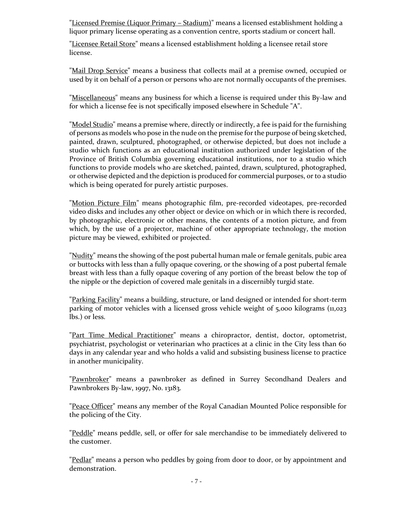"Licensed Premise (Liquor Primary – Stadium)" means a licensed establishment holding a liquor primary license operating as a convention centre, sports stadium or concert hall.

"Licensee Retail Store" means a licensed establishment holding a licensee retail store license.

"Mail Drop Service" means a business that collects mail at a premise owned, occupied or used by it on behalf of a person or persons who are not normally occupants of the premises.

"Miscellaneous" means any business for which a license is required under this By-law and for which a license fee is not specifically imposed elsewhere in Schedule "A".

"Model Studio" means a premise where, directly or indirectly, a fee is paid for the furnishing of persons as models who pose in the nude on the premise for the purpose of being sketched, painted, drawn, sculptured, photographed, or otherwise depicted, but does not include a studio which functions as an educational institution authorized under legislation of the Province of British Columbia governing educational institutions, nor to a studio which functions to provide models who are sketched, painted, drawn, sculptured, photographed, or otherwise depicted and the depiction is produced for commercial purposes, or to a studio which is being operated for purely artistic purposes.

"Motion Picture Film" means photographic film, pre-recorded videotapes, pre-recorded video disks and includes any other object or device on which or in which there is recorded, by photographic, electronic or other means, the contents of a motion picture, and from which, by the use of a projector, machine of other appropriate technology, the motion picture may be viewed, exhibited or projected.

"Nudity" means the showing of the post pubertal human male or female genitals, pubic area or buttocks with less than a fully opaque covering, or the showing of a post pubertal female breast with less than a fully opaque covering of any portion of the breast below the top of the nipple or the depiction of covered male genitals in a discernibly turgid state.

"Parking Facility" means a building, structure, or land designed or intended for short-term parking of motor vehicles with a licensed gross vehicle weight of 5,000 kilograms (11,023 lbs.) or less.

"Part Time Medical Practitioner" means a chiropractor, dentist, doctor, optometrist, psychiatrist, psychologist or veterinarian who practices at a clinic in the City less than 60 days in any calendar year and who holds a valid and subsisting business license to practice in another municipality.

"Pawnbroker" means a pawnbroker as defined in Surrey Secondhand Dealers and Pawnbrokers By-law, 1997, No. 13183.

"Peace Officer" means any member of the Royal Canadian Mounted Police responsible for the policing of the City.

"Peddle" means peddle, sell, or offer for sale merchandise to be immediately delivered to the customer.

"Pedlar" means a person who peddles by going from door to door, or by appointment and demonstration.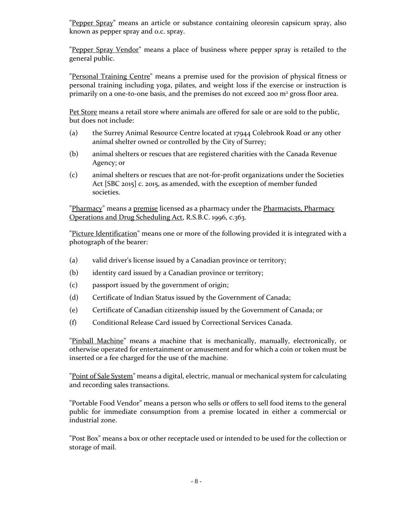"Pepper Spray" means an article or substance containing oleoresin capsicum spray, also known as pepper spray and o.c. spray.

"Pepper Spray Vendor" means a place of business where pepper spray is retailed to the general public.

"Personal Training Centre" means a premise used for the provision of physical fitness or personal training including yoga, pilates, and weight loss if the exercise or instruction is primarily on a one-to-one basis, and the premises do not exceed 200 m<sup>2</sup> gross floor area.

Pet Store means a retail store where animals are offered for sale or are sold to the public, but does not include:

- (a) the Surrey Animal Resource Centre located at 17944 Colebrook Road or any other animal shelter owned or controlled by the City of Surrey;
- (b) animal shelters or rescues that are registered charities with the Canada Revenue Agency; or
- (c) animal shelters or rescues that are not-for-profit organizations under the Societies Act [SBC 2015] c. 2015, as amended, with the exception of member funded societies.

"Pharmacy" means a premise licensed as a pharmacy under the Pharmacists, Pharmacy Operations and Drug Scheduling Act, R.S.B.C. 1996, c.363.

"Picture Identification" means one or more of the following provided it is integrated with a photograph of the bearer:

- (a) valid driver's license issued by a Canadian province or territory;
- (b) identity card issued by a Canadian province or territory;
- (c) passport issued by the government of origin;
- (d) Certificate of Indian Status issued by the Government of Canada;
- (e) Certificate of Canadian citizenship issued by the Government of Canada; or
- (f) Conditional Release Card issued by Correctional Services Canada.

"Pinball Machine" means a machine that is mechanically, manually, electronically, or otherwise operated for entertainment or amusement and for which a coin or token must be inserted or a fee charged for the use of the machine.

"Point of Sale System" means a digital, electric, manual or mechanical system for calculating and recording sales transactions.

"Portable Food Vendor" means a person who sells or offers to sell food items to the general public for immediate consumption from a premise located in either a commercial or industrial zone.

"Post Box" means a box or other receptacle used or intended to be used for the collection or storage of mail.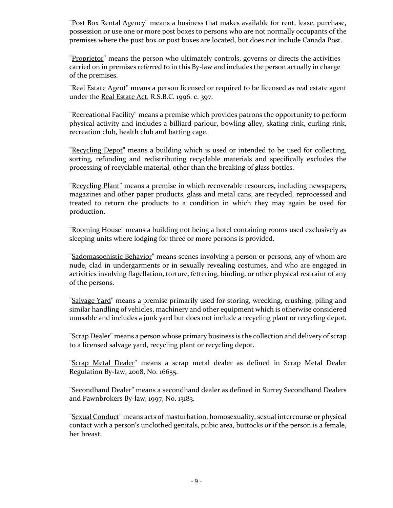"Post Box Rental Agency" means a business that makes available for rent, lease, purchase, possession or use one or more post boxes to persons who are not normally occupants of the premises where the post box or post boxes are located, but does not include Canada Post.

"Proprietor" means the person who ultimately controls, governs or directs the activities carried on in premises referred to in this By-law and includes the person actually in charge of the premises.

"Real Estate Agent" means a person licensed or required to be licensed as real estate agent under the Real Estate Act, R.S.B.C. 1996. c. 397.

"Recreational Facility" means a premise which provides patrons the opportunity to perform physical activity and includes a billiard parlour, bowling alley, skating rink, curling rink, recreation club, health club and batting cage.

"Recycling Depot" means a building which is used or intended to be used for collecting, sorting, refunding and redistributing recyclable materials and specifically excludes the processing of recyclable material, other than the breaking of glass bottles.

"Recycling Plant" means a premise in which recoverable resources, including newspapers, magazines and other paper products, glass and metal cans, are recycled, reprocessed and treated to return the products to a condition in which they may again be used for production.

"Rooming House" means a building not being a hotel containing rooms used exclusively as sleeping units where lodging for three or more persons is provided.

"Sadomasochistic Behavior" means scenes involving a person or persons, any of whom are nude, clad in undergarments or in sexually revealing costumes, and who are engaged in activities involving flagellation, torture, fettering, binding, or other physical restraint of any of the persons.

"Salvage Yard" means a premise primarily used for storing, wrecking, crushing, piling and similar handling of vehicles, machinery and other equipment which is otherwise considered unusable and includes a junk yard but does not include a recycling plant or recycling depot.

"Scrap Dealer" means a person whose primary business is the collection and delivery of scrap to a licensed salvage yard, recycling plant or recycling depot.

"Scrap Metal Dealer" means a scrap metal dealer as defined in Scrap Metal Dealer Regulation By-law, 2008, No. 16655.

"Secondhand Dealer" means a secondhand dealer as defined in Surrey Secondhand Dealers and Pawnbrokers By-law, 1997, No. 13183.

"Sexual Conduct" means acts of masturbation, homosexuality, sexual intercourse or physical contact with a person's unclothed genitals, pubic area, buttocks or if the person is a female, her breast.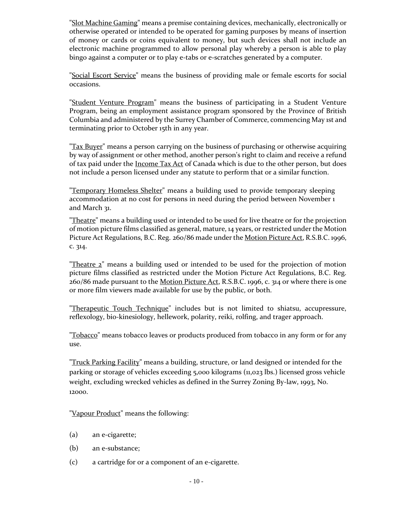"Slot Machine Gaming" means a premise containing devices, mechanically, electronically or otherwise operated or intended to be operated for gaming purposes by means of insertion of money or cards or coins equivalent to money, but such devices shall not include an electronic machine programmed to allow personal play whereby a person is able to play bingo against a computer or to play e-tabs or e-scratches generated by a computer.

"Social Escort Service" means the business of providing male or female escorts for social occasions.

"Student Venture Program" means the business of participating in a Student Venture Program, being an employment assistance program sponsored by the Province of British Columbia and administered by the Surrey Chamber of Commerce, commencing May 1st and terminating prior to October 15th in any year.

"Tax Buyer" means a person carrying on the business of purchasing or otherwise acquiring by way of assignment or other method, another person's right to claim and receive a refund of tax paid under the Income Tax Act of Canada which is due to the other person, but does not include a person licensed under any statute to perform that or a similar function.

"Temporary Homeless Shelter" means a building used to provide temporary sleeping accommodation at no cost for persons in need during the period between November 1 and March 31.

"Theatre" means a building used or intended to be used for live theatre or for the projection of motion picture films classified as general, mature, 14 years, or restricted under the Motion Picture Act Regulations, B.C. Reg. 260/86 made under the Motion Picture Act, R.S.B.C. 1996, c. 314.

"Theatre 2" means a building used or intended to be used for the projection of motion picture films classified as restricted under the Motion Picture Act Regulations, B.C. Reg. 260/86 made pursuant to the <u>Motion Picture Act</u>, R.S.B.C. 1996, c. 314 or where there is one or more film viewers made available for use by the public, or both.

"Therapeutic Touch Technique" includes but is not limited to shiatsu, accupressure, reflexology, bio-kinesiology, hellework, polarity, reiki, rolfing, and trager approach.

"Tobacco" means tobacco leaves or products produced from tobacco in any form or for any use.

"Truck Parking Facility" means a building, structure, or land designed or intended for the parking or storage of vehicles exceeding 5,000 kilograms (11,023 lbs.) licensed gross vehicle weight, excluding wrecked vehicles as defined in the Surrey Zoning By-law, 1993, No. 12000.

"Vapour Product" means the following:

- (a) an e-cigarette;
- (b) an e-substance;
- (c) a cartridge for or a component of an e-cigarette.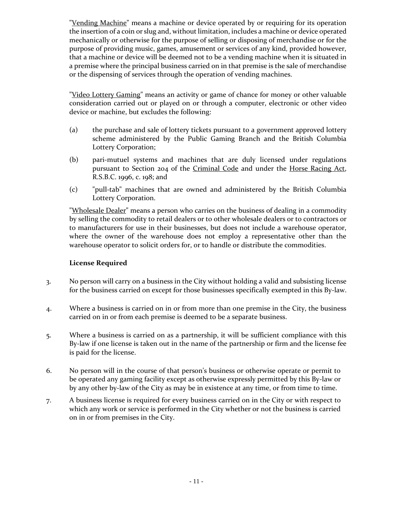"Vending Machine" means a machine or device operated by or requiring for its operation the insertion of a coin or slug and, without limitation, includes a machine or device operated mechanically or otherwise for the purpose of selling or disposing of merchandise or for the purpose of providing music, games, amusement or services of any kind, provided however, that a machine or device will be deemed not to be a vending machine when it is situated in a premise where the principal business carried on in that premise is the sale of merchandise or the dispensing of services through the operation of vending machines.

"Video Lottery Gaming" means an activity or game of chance for money or other valuable consideration carried out or played on or through a computer, electronic or other video device or machine, but excludes the following:

- (a) the purchase and sale of lottery tickets pursuant to a government approved lottery scheme administered by the Public Gaming Branch and the British Columbia Lottery Corporation;
- (b) pari-mutuel systems and machines that are duly licensed under regulations pursuant to Section 204 of the Criminal Code and under the Horse Racing Act, R.S.B.C. 1996, c. 198; and
- (c) "pull-tab" machines that are owned and administered by the British Columbia Lottery Corporation.

"Wholesale Dealer" means a person who carries on the business of dealing in a commodity by selling the commodity to retail dealers or to other wholesale dealers or to contractors or to manufacturers for use in their businesses, but does not include a warehouse operator, where the owner of the warehouse does not employ a representative other than the warehouse operator to solicit orders for, or to handle or distribute the commodities.

# **License Required**

- 3. No person will carry on a business in the City without holding a valid and subsisting license for the business carried on except for those businesses specifically exempted in this By-law.
- 4. Where a business is carried on in or from more than one premise in the City, the business carried on in or from each premise is deemed to be a separate business.
- 5. Where a business is carried on as a partnership, it will be sufficient compliance with this By-law if one license is taken out in the name of the partnership or firm and the license fee is paid for the license.
- 6. No person will in the course of that person's business or otherwise operate or permit to be operated any gaming facility except as otherwise expressly permitted by this By-law or by any other by-law of the City as may be in existence at any time, or from time to time.
- 7. A business license is required for every business carried on in the City or with respect to which any work or service is performed in the City whether or not the business is carried on in or from premises in the City.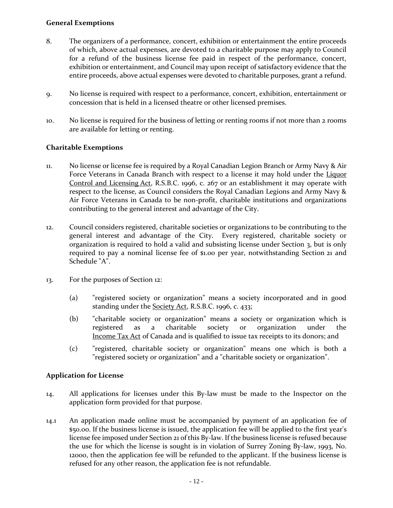### **General Exemptions**

- 8. The organizers of a performance, concert, exhibition or entertainment the entire proceeds of which, above actual expenses, are devoted to a charitable purpose may apply to Council for a refund of the business license fee paid in respect of the performance, concert, exhibition or entertainment, and Council may upon receipt of satisfactory evidence that the entire proceeds, above actual expenses were devoted to charitable purposes, grant a refund.
- 9. No license is required with respect to a performance, concert, exhibition, entertainment or concession that is held in a licensed theatre or other licensed premises.
- 10. No license is required for the business of letting or renting rooms if not more than 2 rooms are available for letting or renting.

### **Charitable Exemptions**

- 11. No license or license fee is required by a Royal Canadian Legion Branch or Army Navy & Air Force Veterans in Canada Branch with respect to a license it may hold under the Liquor Control and Licensing Act, R.S.B.C. 1996, c. 267 or an establishment it may operate with respect to the license, as Council considers the Royal Canadian Legions and Army Navy & Air Force Veterans in Canada to be non-profit, charitable institutions and organizations contributing to the general interest and advantage of the City.
- 12. Council considers registered, charitable societies or organizations to be contributing to the general interest and advantage of the City. Every registered, charitable society or organization is required to hold a valid and subsisting license under Section 3, but is only required to pay a nominal license fee of \$1.00 per year, notwithstanding Section 21 and Schedule "A".
- 13. For the purposes of Section 12:
	- (a) "registered society or organization" means a society incorporated and in good standing under the **Society Act**, R.S.B.C. 1996, c. 433;
	- (b) "charitable society or organization" means a society or organization which is registered as a charitable society or organization under the Income Tax Act of Canada and is qualified to issue tax receipts to its donors; and
	- (c) "registered, charitable society or organization" means one which is both a "registered society or organization" and a "charitable society or organization".

### **Application for License**

- 14. All applications for licenses under this By-law must be made to the Inspector on the application form provided for that purpose.
- 14.1 An application made online must be accompanied by payment of an application fee of \$50.00. If the business license is issued, the application fee will be applied to the first year's license fee imposed under Section 21 of this By-law. If the business license is refused because the use for which the license is sought is in violation of Surrey Zoning By-law, 1993, No. 12000, then the application fee will be refunded to the applicant. If the business license is refused for any other reason, the application fee is not refundable.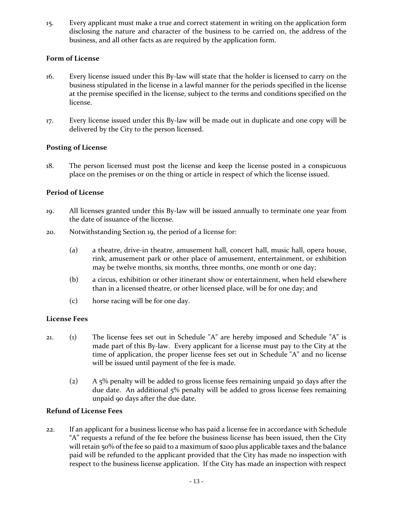15. Every applicant must make a true and correct statement in writing on the application form disclosing the nature and character of the business to be carried on, the address of the business, and all other facts as are required by the application form.

# **Form of License**

- 16. Every license issued under this By-law will state that the holder is licensed to carry on the business stipulated in the license in a lawful manner for the periods specified in the license at the premise specified in the license, subject to the terms and conditions specified on the license.
- 17. Every license issued under this By-law will be made out in duplicate and one copy will be delivered by the City to the person licensed.

# **Posting of License**

18. The person licensed must post the license and keep the license posted in a conspicuous place on the premises or on the thing or article in respect of which the license issued.

# **Period of License**

- 19. All licenses granted under this By-law will be issued annually to terminate one year from the date of issuance of the license.
- 20. Notwithstanding Section 19, the period of a license for:
	- (a) a theatre, drive-in theatre, amusement hall, concert hall, music hall, opera house, rink, amusement park or other place of amusement, entertainment, or exhibition may be twelve months, six months, three months, one month or one day;
	- (b) a circus, exhibition or other itinerant show or entertainment, when held elsewhere than in a licensed theatre, or other licensed place, will be for one day; and
	- (c) horse racing will be for one day.

### **License Fees**

- 21. (1) The license fees set out in Schedule "A" are hereby imposed and Schedule "A" is made part of this By-law. Every applicant for a license must pay to the City at the time of application, the proper license fees set out in Schedule "A" and no license will be issued until payment of the fee is made.
	- (2) A 5% penalty will be added to gross license fees remaining unpaid 30 days after the due date. An additional 5% penalty will be added to gross license fees remaining unpaid 90 days after the due date.

# **Refund of License Fees**

22. If an applicant for a business license who has paid a license fee in accordance with Schedule "A" requests a refund of the fee before the business license has been issued, then the City will retain 50% of the fee so paid to a maximum of \$200 plus applicable taxes and the balance paid will be refunded to the applicant provided that the City has made no inspection with respect to the business license application. If the City has made an inspection with respect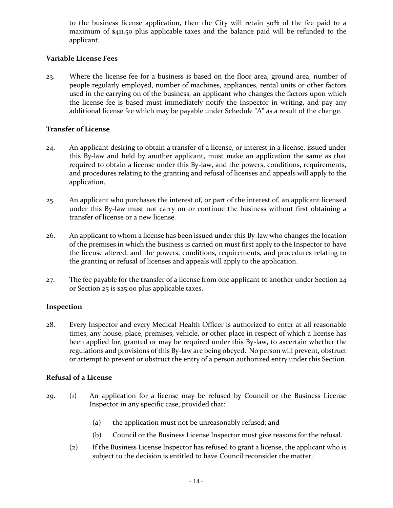to the business license application, then the City will retain 50% of the fee paid to a maximum of \$411.50 plus applicable taxes and the balance paid will be refunded to the applicant.

### **Variable License Fees**

23. Where the license fee for a business is based on the floor area, ground area, number of people regularly employed, number of machines, appliances, rental units or other factors used in the carrying on of the business, an applicant who changes the factors upon which the license fee is based must immediately notify the Inspector in writing, and pay any additional license fee which may be payable under Schedule "A" as a result of the change.

### **Transfer of License**

- 24. An applicant desiring to obtain a transfer of a license, or interest in a license, issued under this By-law and held by another applicant, must make an application the same as that required to obtain a license under this By-law, and the powers, conditions, requirements, and procedures relating to the granting and refusal of licenses and appeals will apply to the application.
- 25. An applicant who purchases the interest of, or part of the interest of, an applicant licensed under this By-law must not carry on or continue the business without first obtaining a transfer of license or a new license.
- 26. An applicant to whom a license has been issued under this By-law who changes the location of the premises in which the business is carried on must first apply to the Inspector to have the license altered, and the powers, conditions, requirements, and procedures relating to the granting or refusal of licenses and appeals will apply to the application.
- 27. The fee payable for the transfer of a license from one applicant to another under Section 24 or Section 25 is \$25.00 plus applicable taxes.

### **Inspection**

28. Every Inspector and every Medical Health Officer is authorized to enter at all reasonable times, any house, place, premises, vehicle, or other place in respect of which a license has been applied for, granted or may be required under this By-law, to ascertain whether the regulations and provisions of this By-law are being obeyed. No person will prevent, obstruct or attempt to prevent or obstruct the entry of a person authorized entry under this Section.

### **Refusal of a License**

- 29. (1) An application for a license may be refused by Council or the Business License Inspector in any specific case, provided that:
	- (a) the application must not be unreasonably refused; and
	- (b) Council or the Business License Inspector must give reasons for the refusal.
	- (2) If the Business License Inspector has refused to grant a license, the applicant who is subject to the decision is entitled to have Council reconsider the matter.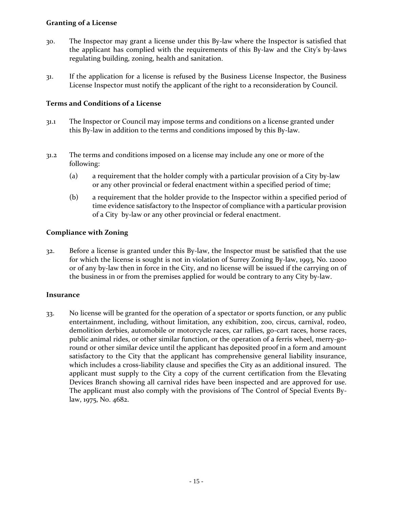### **Granting of a License**

- 30. The Inspector may grant a license under this By-law where the Inspector is satisfied that the applicant has complied with the requirements of this By-law and the City's by-laws regulating building, zoning, health and sanitation.
- 31. If the application for a license is refused by the Business License Inspector, the Business License Inspector must notify the applicant of the right to a reconsideration by Council.

### **Terms and Conditions of a License**

- 31.1 The Inspector or Council may impose terms and conditions on a license granted under this By-law in addition to the terms and conditions imposed by this By-law.
- 31.2 The terms and conditions imposed on a license may include any one or more of the following:
	- (a) a requirement that the holder comply with a particular provision of a City by-law or any other provincial or federal enactment within a specified period of time;
	- (b) a requirement that the holder provide to the Inspector within a specified period of time evidence satisfactory to the Inspector of compliance with a particular provision of a City by-law or any other provincial or federal enactment.

# **Compliance with Zoning**

32. Before a license is granted under this By-law, the Inspector must be satisfied that the use for which the license is sought is not in violation of Surrey Zoning By-law, 1993, No. 12000 or of any by-law then in force in the City, and no license will be issued if the carrying on of the business in or from the premises applied for would be contrary to any City by-law.

### **Insurance**

33. No license will be granted for the operation of a spectator or sports function, or any public entertainment, including, without limitation, any exhibition, zoo, circus, carnival, rodeo, demolition derbies, automobile or motorcycle races, car rallies, go-cart races, horse races, public animal rides, or other similar function, or the operation of a ferris wheel, merry-goround or other similar device until the applicant has deposited proof in a form and amount satisfactory to the City that the applicant has comprehensive general liability insurance, which includes a cross-liability clause and specifies the City as an additional insured. The applicant must supply to the City a copy of the current certification from the Elevating Devices Branch showing all carnival rides have been inspected and are approved for use. The applicant must also comply with the provisions of The Control of Special Events Bylaw, 1975, No. 4682.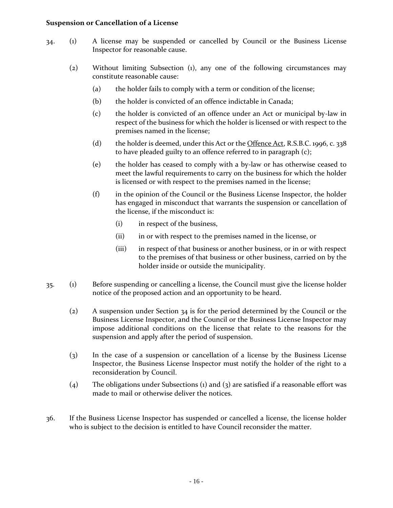#### **Suspension or Cancellation of a License**

- 34. (1) A license may be suspended or cancelled by Council or the Business License Inspector for reasonable cause.
	- (2) Without limiting Subsection (1), any one of the following circumstances may constitute reasonable cause:
		- (a) the holder fails to comply with a term or condition of the license;
		- (b) the holder is convicted of an offence indictable in Canada;
		- (c) the holder is convicted of an offence under an Act or municipal by-law in respect of the business for which the holder is licensed or with respect to the premises named in the license;
		- (d) the holder is deemed, under this Act or the Offence Act, R.S.B.C. 1996, c. 338 to have pleaded guilty to an offence referred to in paragraph (c);
		- (e) the holder has ceased to comply with a by-law or has otherwise ceased to meet the lawful requirements to carry on the business for which the holder is licensed or with respect to the premises named in the license;
		- (f) in the opinion of the Council or the Business License Inspector, the holder has engaged in misconduct that warrants the suspension or cancellation of the license, if the misconduct is:
			- (i) in respect of the business,
			- (ii) in or with respect to the premises named in the license, or
			- (iii) in respect of that business or another business, or in or with respect to the premises of that business or other business, carried on by the holder inside or outside the municipality.
- 35. (1) Before suspending or cancelling a license, the Council must give the license holder notice of the proposed action and an opportunity to be heard.
	- (2) A suspension under Section 34 is for the period determined by the Council or the Business License Inspector, and the Council or the Business License Inspector may impose additional conditions on the license that relate to the reasons for the suspension and apply after the period of suspension.
	- (3) In the case of a suspension or cancellation of a license by the Business License Inspector, the Business License Inspector must notify the holder of the right to a reconsideration by Council.
	- (4) The obligations under Subsections (1) and (3) are satisfied if a reasonable effort was made to mail or otherwise deliver the notices.
- 36. If the Business License Inspector has suspended or cancelled a license, the license holder who is subject to the decision is entitled to have Council reconsider the matter.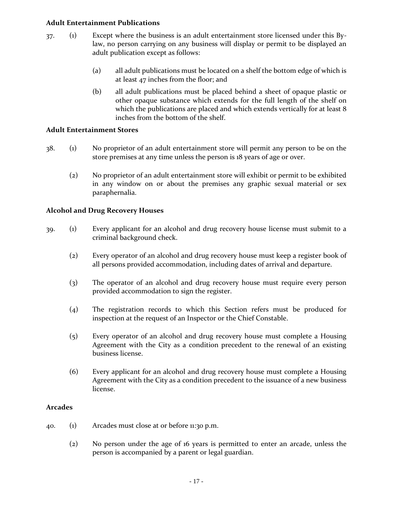#### **Adult Entertainment Publications**

- 37. (1) Except where the business is an adult entertainment store licensed under this Bylaw, no person carrying on any business will display or permit to be displayed an adult publication except as follows:
	- (a) all adult publications must be located on a shelf the bottom edge of which is at least 47 inches from the floor; and
	- (b) all adult publications must be placed behind a sheet of opaque plastic or other opaque substance which extends for the full length of the shelf on which the publications are placed and which extends vertically for at least 8 inches from the bottom of the shelf.

#### **Adult Entertainment Stores**

- 38. (1) No proprietor of an adult entertainment store will permit any person to be on the store premises at any time unless the person is 18 years of age or over.
	- (2) No proprietor of an adult entertainment store will exhibit or permit to be exhibited in any window on or about the premises any graphic sexual material or sex paraphernalia.

### **Alcohol and Drug Recovery Houses**

- 39. (1) Every applicant for an alcohol and drug recovery house license must submit to a criminal background check.
	- (2) Every operator of an alcohol and drug recovery house must keep a register book of all persons provided accommodation, including dates of arrival and departure.
	- (3) The operator of an alcohol and drug recovery house must require every person provided accommodation to sign the register.
	- (4) The registration records to which this Section refers must be produced for inspection at the request of an Inspector or the Chief Constable.
	- (5) Every operator of an alcohol and drug recovery house must complete a Housing Agreement with the City as a condition precedent to the renewal of an existing business license.
	- (6) Every applicant for an alcohol and drug recovery house must complete a Housing Agreement with the City as a condition precedent to the issuance of a new business license.

#### **Arcades**

- 40. (1) Arcades must close at or before 11:30 p.m.
	- (2) No person under the age of 16 years is permitted to enter an arcade, unless the person is accompanied by a parent or legal guardian.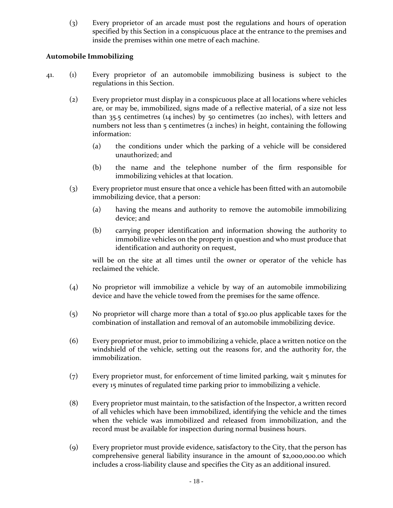(3) Every proprietor of an arcade must post the regulations and hours of operation specified by this Section in a conspicuous place at the entrance to the premises and inside the premises within one metre of each machine.

# **Automobile Immobilizing**

- 41. (1) Every proprietor of an automobile immobilizing business is subject to the regulations in this Section.
	- (2) Every proprietor must display in a conspicuous place at all locations where vehicles are, or may be, immobilized, signs made of a reflective material, of a size not less than 35.5 centimetres (14 inches) by 50 centimetres (20 inches), with letters and numbers not less than 5 centimetres (2 inches) in height, containing the following information:
		- (a) the conditions under which the parking of a vehicle will be considered unauthorized; and
		- (b) the name and the telephone number of the firm responsible for immobilizing vehicles at that location.
	- (3) Every proprietor must ensure that once a vehicle has been fitted with an automobile immobilizing device, that a person:
		- (a) having the means and authority to remove the automobile immobilizing device; and
		- (b) carrying proper identification and information showing the authority to immobilize vehicles on the property in question and who must produce that identification and authority on request,

will be on the site at all times until the owner or operator of the vehicle has reclaimed the vehicle.

- (4) No proprietor will immobilize a vehicle by way of an automobile immobilizing device and have the vehicle towed from the premises for the same offence.
- (5) No proprietor will charge more than a total of \$30.00 plus applicable taxes for the combination of installation and removal of an automobile immobilizing device.
- (6) Every proprietor must, prior to immobilizing a vehicle, place a written notice on the windshield of the vehicle, setting out the reasons for, and the authority for, the immobilization.
- (7) Every proprietor must, for enforcement of time limited parking, wait 5 minutes for every 15 minutes of regulated time parking prior to immobilizing a vehicle.
- (8) Every proprietor must maintain, to the satisfaction of the Inspector, a written record of all vehicles which have been immobilized, identifying the vehicle and the times when the vehicle was immobilized and released from immobilization, and the record must be available for inspection during normal business hours.
- (9) Every proprietor must provide evidence, satisfactory to the City, that the person has comprehensive general liability insurance in the amount of \$2,000,000.00 which includes a cross-liability clause and specifies the City as an additional insured.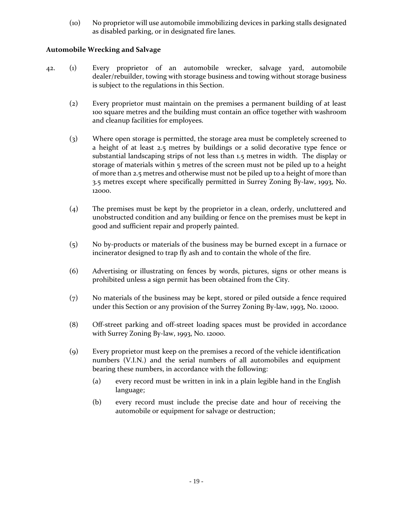(10) No proprietor will use automobile immobilizing devices in parking stalls designated as disabled parking, or in designated fire lanes.

### **Automobile Wrecking and Salvage**

- 42. (1) Every proprietor of an automobile wrecker, salvage yard, automobile dealer/rebuilder, towing with storage business and towing without storage business is subject to the regulations in this Section.
	- (2) Every proprietor must maintain on the premises a permanent building of at least 100 square metres and the building must contain an office together with washroom and cleanup facilities for employees.
	- (3) Where open storage is permitted, the storage area must be completely screened to a height of at least 2.5 metres by buildings or a solid decorative type fence or substantial landscaping strips of not less than 1.5 metres in width. The display or storage of materials within 5 metres of the screen must not be piled up to a height of more than 2.5 metres and otherwise must not be piled up to a height of more than 3.5 metres except where specifically permitted in Surrey Zoning By-law, 1993, No. 12000.
	- (4) The premises must be kept by the proprietor in a clean, orderly, uncluttered and unobstructed condition and any building or fence on the premises must be kept in good and sufficient repair and properly painted.
	- (5) No by-products or materials of the business may be burned except in a furnace or incinerator designed to trap fly ash and to contain the whole of the fire.
	- (6) Advertising or illustrating on fences by words, pictures, signs or other means is prohibited unless a sign permit has been obtained from the City.
	- (7) No materials of the business may be kept, stored or piled outside a fence required under this Section or any provision of the Surrey Zoning By-law, 1993, No. 12000.
	- (8) Off-street parking and off-street loading spaces must be provided in accordance with Surrey Zoning By-law, 1993, No. 12000.
	- (9) Every proprietor must keep on the premises a record of the vehicle identification numbers (V.I.N.) and the serial numbers of all automobiles and equipment bearing these numbers, in accordance with the following:
		- (a) every record must be written in ink in a plain legible hand in the English language;
		- (b) every record must include the precise date and hour of receiving the automobile or equipment for salvage or destruction;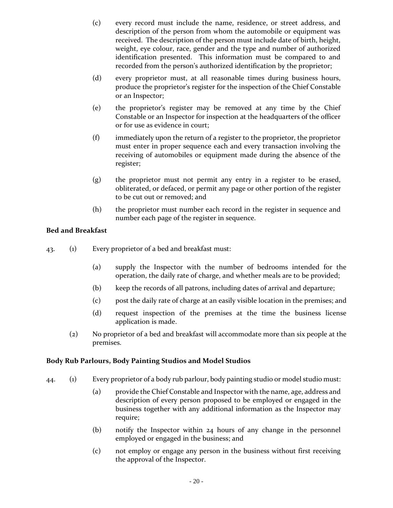- (c) every record must include the name, residence, or street address, and description of the person from whom the automobile or equipment was received. The description of the person must include date of birth, height, weight, eye colour, race, gender and the type and number of authorized identification presented. This information must be compared to and recorded from the person's authorized identification by the proprietor;
- (d) every proprietor must, at all reasonable times during business hours, produce the proprietor's register for the inspection of the Chief Constable or an Inspector;
- (e) the proprietor's register may be removed at any time by the Chief Constable or an Inspector for inspection at the headquarters of the officer or for use as evidence in court;
- (f) immediately upon the return of a register to the proprietor, the proprietor must enter in proper sequence each and every transaction involving the receiving of automobiles or equipment made during the absence of the register;
- (g) the proprietor must not permit any entry in a register to be erased, obliterated, or defaced, or permit any page or other portion of the register to be cut out or removed; and
- (h) the proprietor must number each record in the register in sequence and number each page of the register in sequence.

# **Bed and Breakfast**

- 43. (1) Every proprietor of a bed and breakfast must:
	- (a) supply the Inspector with the number of bedrooms intended for the operation, the daily rate of charge, and whether meals are to be provided;
	- (b) keep the records of all patrons, including dates of arrival and departure;
	- (c) post the daily rate of charge at an easily visible location in the premises; and
	- (d) request inspection of the premises at the time the business license application is made.
	- (2) No proprietor of a bed and breakfast will accommodate more than six people at the premises.

# **Body Rub Parlours, Body Painting Studios and Model Studios**

- 44. (1) Every proprietor of a body rub parlour, body painting studio or model studio must:
	- (a) provide the Chief Constable and Inspector with the name, age, address and description of every person proposed to be employed or engaged in the business together with any additional information as the Inspector may require;
	- (b) notify the Inspector within 24 hours of any change in the personnel employed or engaged in the business; and
	- (c) not employ or engage any person in the business without first receiving the approval of the Inspector.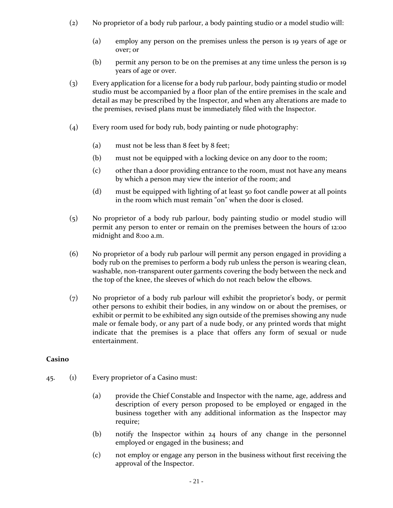- (2) No proprietor of a body rub parlour, a body painting studio or a model studio will:
	- (a) employ any person on the premises unless the person is 19 years of age or over; or
	- (b) permit any person to be on the premises at any time unless the person is 19 years of age or over.
- (3) Every application for a license for a body rub parlour, body painting studio or model studio must be accompanied by a floor plan of the entire premises in the scale and detail as may be prescribed by the Inspector, and when any alterations are made to the premises, revised plans must be immediately filed with the Inspector.
- (4) Every room used for body rub, body painting or nude photography:
	- (a) must not be less than 8 feet by 8 feet;
	- (b) must not be equipped with a locking device on any door to the room;
	- (c) other than a door providing entrance to the room, must not have any means by which a person may view the interior of the room; and
	- (d) must be equipped with lighting of at least 50 foot candle power at all points in the room which must remain "on" when the door is closed.
- (5) No proprietor of a body rub parlour, body painting studio or model studio will permit any person to enter or remain on the premises between the hours of 12:00 midnight and 8:00 a.m.
- (6) No proprietor of a body rub parlour will permit any person engaged in providing a body rub on the premises to perform a body rub unless the person is wearing clean, washable, non-transparent outer garments covering the body between the neck and the top of the knee, the sleeves of which do not reach below the elbows.
- (7) No proprietor of a body rub parlour will exhibit the proprietor's body, or permit other persons to exhibit their bodies, in any window on or about the premises, or exhibit or permit to be exhibited any sign outside of the premises showing any nude male or female body, or any part of a nude body, or any printed words that might indicate that the premises is a place that offers any form of sexual or nude entertainment.

### **Casino**

- 45. (1) Every proprietor of a Casino must:
	- (a) provide the Chief Constable and Inspector with the name, age, address and description of every person proposed to be employed or engaged in the business together with any additional information as the Inspector may require;
	- (b) notify the Inspector within 24 hours of any change in the personnel employed or engaged in the business; and
	- (c) not employ or engage any person in the business without first receiving the approval of the Inspector.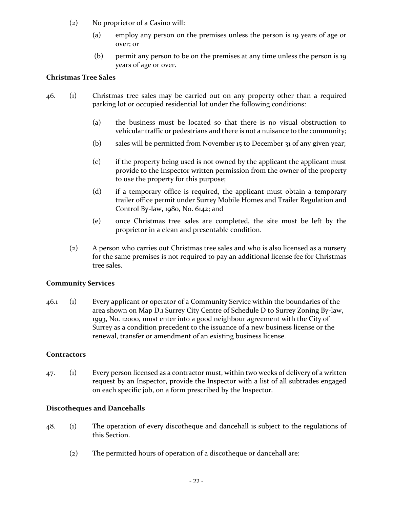- (2) No proprietor of a Casino will:
	- (a) employ any person on the premises unless the person is 19 years of age or over; or
	- (b) permit any person to be on the premises at any time unless the person is 19 years of age or over.

### **Christmas Tree Sales**

- 46. (1) Christmas tree sales may be carried out on any property other than a required parking lot or occupied residential lot under the following conditions:
	- (a) the business must be located so that there is no visual obstruction to vehicular traffic or pedestrians and there is not a nuisance to the community;
	- (b) sales will be permitted from November 15 to December 31 of any given year;
	- (c) if the property being used is not owned by the applicant the applicant must provide to the Inspector written permission from the owner of the property to use the property for this purpose;
	- (d) if a temporary office is required, the applicant must obtain a temporary trailer office permit under Surrey Mobile Homes and Trailer Regulation and Control By-law, 1980, No. 6142; and
	- (e) once Christmas tree sales are completed, the site must be left by the proprietor in a clean and presentable condition.
	- (2) A person who carries out Christmas tree sales and who is also licensed as a nursery for the same premises is not required to pay an additional license fee for Christmas tree sales.

#### **Community Services**

46.1 (1) Every applicant or operator of a Community Service within the boundaries of the area shown on Map D.1 Surrey City Centre of Schedule D to Surrey Zoning By-law, 1993, No. 12000, must enter into a good neighbour agreement with the City of Surrey as a condition precedent to the issuance of a new business license or the renewal, transfer or amendment of an existing business license.

### **Contractors**

47. (1) Every person licensed as a contractor must, within two weeks of delivery of a written request by an Inspector, provide the Inspector with a list of all subtrades engaged on each specific job, on a form prescribed by the Inspector.

#### **Discotheques and Dancehalls**

- 48. (1) The operation of every discotheque and dancehall is subject to the regulations of this Section.
	- (2) The permitted hours of operation of a discotheque or dancehall are: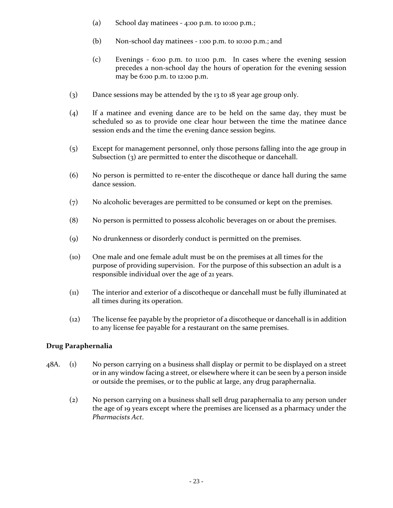- (a) School day matinees  $-$  4:00 p.m. to 10:00 p.m.;
- (b) Non-school day matinees 1:00 p.m. to 10:00 p.m.; and
- (c) Evenings 6:00 p.m. to 11:00 p.m. In cases where the evening session precedes a non-school day the hours of operation for the evening session may be 6:00 p.m. to 12:00 p.m.
- (3) Dance sessions may be attended by the 13 to 18 year age group only.
- (4) If a matinee and evening dance are to be held on the same day, they must be scheduled so as to provide one clear hour between the time the matinee dance session ends and the time the evening dance session begins.
- (5) Except for management personnel, only those persons falling into the age group in Subsection (3) are permitted to enter the discotheque or dancehall.
- (6) No person is permitted to re-enter the discotheque or dance hall during the same dance session.
- (7) No alcoholic beverages are permitted to be consumed or kept on the premises.
- (8) No person is permitted to possess alcoholic beverages on or about the premises.
- (9) No drunkenness or disorderly conduct is permitted on the premises.
- (10) One male and one female adult must be on the premises at all times for the purpose of providing supervision. For the purpose of this subsection an adult is a responsible individual over the age of 21 years.
- (11) The interior and exterior of a discotheque or dancehall must be fully illuminated at all times during its operation.
- (12) The license fee payable by the proprietor of a discotheque or dancehall is in addition to any license fee payable for a restaurant on the same premises.

### **Drug Paraphernalia**

- 48A. (1) No person carrying on a business shall display or permit to be displayed on a street or in any window facing a street, or elsewhere where it can be seen by a person inside or outside the premises, or to the public at large, any drug paraphernalia.
	- (2) No person carrying on a business shall sell drug paraphernalia to any person under the age of 19 years except where the premises are licensed as a pharmacy under the *Pharmacists Act*.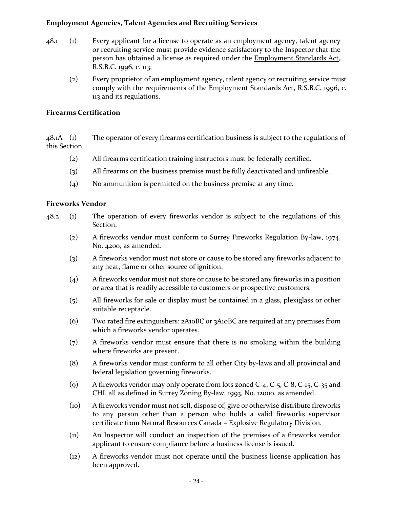### **Employment Agencies, Talent Agencies and Recruiting Services**

- 48.1 (1) Every applicant for a license to operate as an employment agency, talent agency or recruiting service must provide evidence satisfactory to the Inspector that the person has obtained a license as required under the **Employment Standards Act**, R.S.B.C. 1996, c. 113.
	- (2) Every proprietor of an employment agency, talent agency or recruiting service must comply with the requirements of the **Employment Standards Act**, R.S.B.C. 1996, c. 113 and its regulations.

### **Firearms Certification**

48.1A (1) The operator of every firearms certification business is subject to the regulations of this Section.

- (2) All firearms certification training instructors must be federally certified.
- (3) All firearms on the business premise must be fully deactivated and unfireable.
- (4) No ammunition is permitted on the business premise at any time.

### **Fireworks Vendor**

- 48.2 (1) The operation of every fireworks vendor is subject to the regulations of this Section.
	- (2) A fireworks vendor must conform to Surrey Fireworks Regulation By-law, 1974, No. 4200, as amended.
	- (3) A fireworks vendor must not store or cause to be stored any fireworks adjacent to any heat, flame or other source of ignition.
	- (4) A fireworks vendor must not store or cause to be stored any fireworks in a position or area that is readily accessible to customers or prospective customers.
	- (5) All fireworks for sale or display must be contained in a glass, plexiglass or other suitable receptacle.
	- (6) Two rated fire extinguishers: 2A10BC or 3A10BC are required at any premises from which a fireworks vendor operates.
	- (7) A fireworks vendor must ensure that there is no smoking within the building where fireworks are present.
	- (8) A fireworks vendor must conform to all other City by-laws and all provincial and federal legislation governing fireworks.
	- (9) A fireworks vendor may only operate from lots zoned C-4, C-5, C-8, C-15, C-35 and CHI, all as defined in Surrey Zoning By-law, 1993, No. 12000, as amended.
	- (10) A fireworks vendor must not sell, dispose of, give or otherwise distribute fireworks to any person other than a person who holds a valid fireworks supervisor certificate from Natural Resources Canada – Explosive Regulatory Division.
	- (11) An Inspector will conduct an inspection of the premises of a fireworks vendor applicant to ensure compliance before a business license is issued.
	- (12) A fireworks vendor must not operate until the business license application has been approved.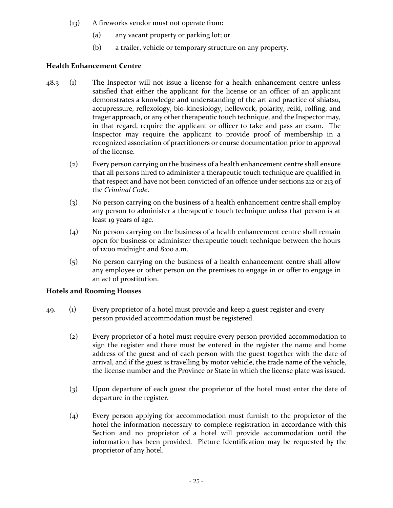- (13) A fireworks vendor must not operate from:
	- (a) any vacant property or parking lot; or
	- (b) a trailer, vehicle or temporary structure on any property.

# **Health Enhancement Centre**

- 48.3 (1) The Inspector will not issue a license for a health enhancement centre unless satisfied that either the applicant for the license or an officer of an applicant demonstrates a knowledge and understanding of the art and practice of shiatsu, accupressure, reflexology, bio-kinesiology, hellework, polarity, reiki, rolfing, and trager approach, or any other therapeutic touch technique, and the Inspector may, in that regard, require the applicant or officer to take and pass an exam. The Inspector may require the applicant to provide proof of membership in a recognized association of practitioners or course documentation prior to approval of the license.
	- (2) Every person carrying on the business of a health enhancement centre shall ensure that all persons hired to administer a therapeutic touch technique are qualified in that respect and have not been convicted of an offence under sections 212 or 213 of the *Criminal Code*.
	- (3) No person carrying on the business of a health enhancement centre shall employ any person to administer a therapeutic touch technique unless that person is at least 19 years of age.
	- (4) No person carrying on the business of a health enhancement centre shall remain open for business or administer therapeutic touch technique between the hours of 12:00 midnight and 8:00 a.m.
	- (5) No person carrying on the business of a health enhancement centre shall allow any employee or other person on the premises to engage in or offer to engage in an act of prostitution.

# **Hotels and Rooming Houses**

- 49. (1) Every proprietor of a hotel must provide and keep a guest register and every person provided accommodation must be registered.
	- (2) Every proprietor of a hotel must require every person provided accommodation to sign the register and there must be entered in the register the name and home address of the guest and of each person with the guest together with the date of arrival, and if the guest is travelling by motor vehicle, the trade name of the vehicle, the license number and the Province or State in which the license plate was issued.
	- (3) Upon departure of each guest the proprietor of the hotel must enter the date of departure in the register.
	- (4) Every person applying for accommodation must furnish to the proprietor of the hotel the information necessary to complete registration in accordance with this Section and no proprietor of a hotel will provide accommodation until the information has been provided. Picture Identification may be requested by the proprietor of any hotel.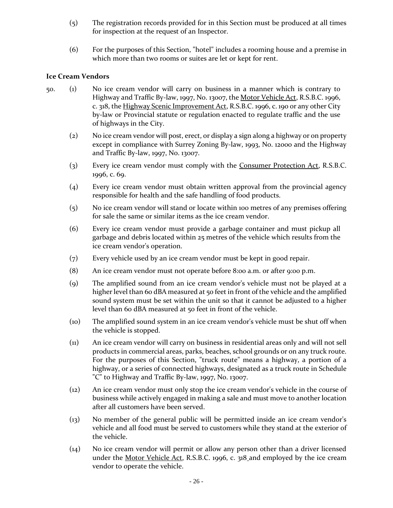- (5) The registration records provided for in this Section must be produced at all times for inspection at the request of an Inspector.
- (6) For the purposes of this Section, "hotel" includes a rooming house and a premise in which more than two rooms or suites are let or kept for rent.

### **Ice Cream Vendors**

- 50. (1) No ice cream vendor will carry on business in a manner which is contrary to Highway and Traffic By-law, 1997, No. 13007, the Motor Vehicle Act, R.S.B.C. 1996, c. 318, the Highway Scenic Improvement Act, R.S.B.C. 1996, c. 190 or any other City by-law or Provincial statute or regulation enacted to regulate traffic and the use of highways in the City.
	- (2) No ice cream vendor will post, erect, or display a sign along a highway or on property except in compliance with Surrey Zoning By-law, 1993, No. 12000 and the Highway and Traffic By-law, 1997, No. 13007.
	- (3) Every ice cream vendor must comply with the Consumer Protection Act, R.S.B.C. 1996, c. 69.
	- (4) Every ice cream vendor must obtain written approval from the provincial agency responsible for health and the safe handling of food products.
	- (5) No ice cream vendor will stand or locate within 100 metres of any premises offering for sale the same or similar items as the ice cream vendor.
	- (6) Every ice cream vendor must provide a garbage container and must pickup all garbage and debris located within 25 metres of the vehicle which results from the ice cream vendor's operation.
	- (7) Every vehicle used by an ice cream vendor must be kept in good repair.
	- (8) An ice cream vendor must not operate before 8:00 a.m. or after 9:00 p.m.
	- (9) The amplified sound from an ice cream vendor's vehicle must not be played at a higher level than 60 dBA measured at 50 feet in front of the vehicle and the amplified sound system must be set within the unit so that it cannot be adjusted to a higher level than 60 dBA measured at 50 feet in front of the vehicle.
	- (10) The amplified sound system in an ice cream vendor's vehicle must be shut off when the vehicle is stopped.
	- (11) An ice cream vendor will carry on business in residential areas only and will not sell products in commercial areas, parks, beaches, school grounds or on any truck route. For the purposes of this Section, "truck route" means a highway, a portion of a highway, or a series of connected highways, designated as a truck route in Schedule "C" to Highway and Traffic By-law, 1997, No. 13007.
	- (12) An ice cream vendor must only stop the ice cream vendor's vehicle in the course of business while actively engaged in making a sale and must move to another location after all customers have been served.
	- (13) No member of the general public will be permitted inside an ice cream vendor's vehicle and all food must be served to customers while they stand at the exterior of the vehicle.
	- (14) No ice cream vendor will permit or allow any person other than a driver licensed under the <u>Motor Vehicle Act</u>, R.S.B.C. 1996, c. 318 and employed by the ice cream vendor to operate the vehicle.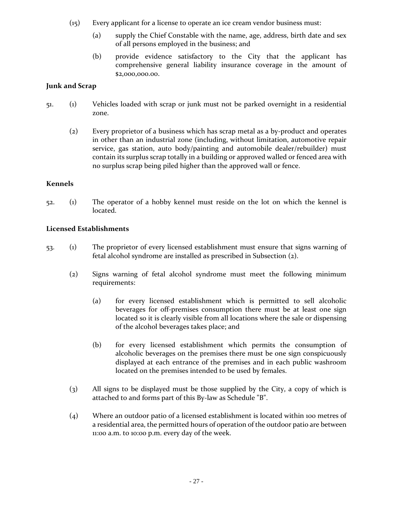- (15) Every applicant for a license to operate an ice cream vendor business must:
	- (a) supply the Chief Constable with the name, age, address, birth date and sex of all persons employed in the business; and
	- (b) provide evidence satisfactory to the City that the applicant has comprehensive general liability insurance coverage in the amount of \$2,000,000.00.

# **Junk and Scrap**

- 51. (1) Vehicles loaded with scrap or junk must not be parked overnight in a residential zone.
	- (2) Every proprietor of a business which has scrap metal as a by-product and operates in other than an industrial zone (including, without limitation, automotive repair service, gas station, auto body/painting and automobile dealer/rebuilder) must contain its surplus scrap totally in a building or approved walled or fenced area with no surplus scrap being piled higher than the approved wall or fence.

### **Kennels**

52. (1) The operator of a hobby kennel must reside on the lot on which the kennel is located.

### **Licensed Establishments**

- 53. (1) The proprietor of every licensed establishment must ensure that signs warning of fetal alcohol syndrome are installed as prescribed in Subsection (2).
	- (2) Signs warning of fetal alcohol syndrome must meet the following minimum requirements:
		- (a) for every licensed establishment which is permitted to sell alcoholic beverages for off-premises consumption there must be at least one sign located so it is clearly visible from all locations where the sale or dispensing of the alcohol beverages takes place; and
		- (b) for every licensed establishment which permits the consumption of alcoholic beverages on the premises there must be one sign conspicuously displayed at each entrance of the premises and in each public washroom located on the premises intended to be used by females.
	- (3) All signs to be displayed must be those supplied by the City, a copy of which is attached to and forms part of this By-law as Schedule "B".
	- (4) Where an outdoor patio of a licensed establishment is located within 100 metres of a residential area, the permitted hours of operation of the outdoor patio are between 11:00 a.m. to 10:00 p.m. every day of the week.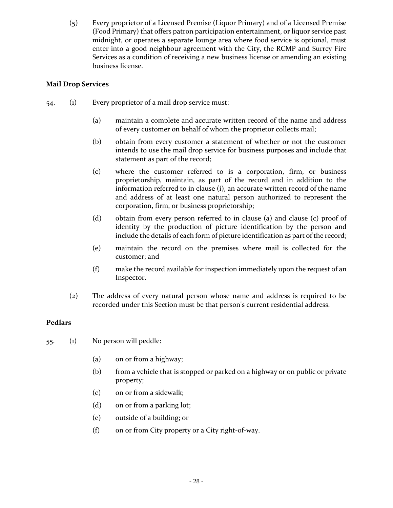(5) Every proprietor of a Licensed Premise (Liquor Primary) and of a Licensed Premise (Food Primary) that offers patron participation entertainment, or liquor service past midnight, or operates a separate lounge area where food service is optional, must enter into a good neighbour agreement with the City, the RCMP and Surrey Fire Services as a condition of receiving a new business license or amending an existing business license.

### **Mail Drop Services**

- 54. (1) Every proprietor of a mail drop service must:
	- (a) maintain a complete and accurate written record of the name and address of every customer on behalf of whom the proprietor collects mail;
	- (b) obtain from every customer a statement of whether or not the customer intends to use the mail drop service for business purposes and include that statement as part of the record;
	- (c) where the customer referred to is a corporation, firm, or business proprietorship, maintain, as part of the record and in addition to the information referred to in clause (i), an accurate written record of the name and address of at least one natural person authorized to represent the corporation, firm, or business proprietorship;
	- (d) obtain from every person referred to in clause (a) and clause (c) proof of identity by the production of picture identification by the person and include the details of each form of picture identification as part of the record;
	- (e) maintain the record on the premises where mail is collected for the customer; and
	- (f) make the record available for inspection immediately upon the request of an Inspector.
	- (2) The address of every natural person whose name and address is required to be recorded under this Section must be that person's current residential address.

### **Pedlars**

- 55. (1) No person will peddle:
	- (a) on or from a highway;
	- (b) from a vehicle that is stopped or parked on a highway or on public or private property;
	- (c) on or from a sidewalk;
	- (d) on or from a parking lot;
	- (e) outside of a building; or
	- (f) on or from City property or a City right-of-way.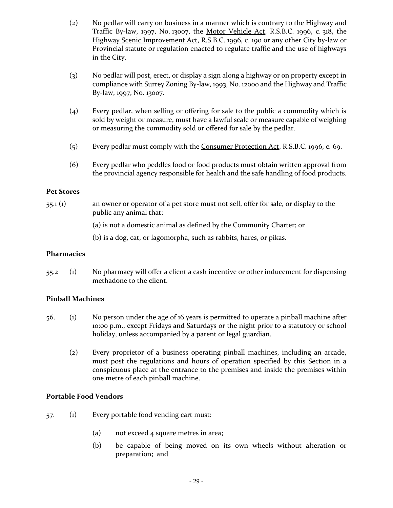- (2) No pedlar will carry on business in a manner which is contrary to the Highway and Traffic By-law, 1997, No. 13007, the Motor Vehicle Act, R.S.B.C. 1996, c. 318, the Highway Scenic Improvement Act, R.S.B.C. 1996, c. 190 or any other City by-law or Provincial statute or regulation enacted to regulate traffic and the use of highways in the City.
- (3) No pedlar will post, erect, or display a sign along a highway or on property except in compliance with Surrey Zoning By-law, 1993, No. 12000 and the Highway and Traffic By-law, 1997, No. 13007.
- (4) Every pedlar, when selling or offering for sale to the public a commodity which is sold by weight or measure, must have a lawful scale or measure capable of weighing or measuring the commodity sold or offered for sale by the pedlar.
- (5) Every pedlar must comply with the Consumer Protection Act, R.S.B.C. 1996, c. 69.
- (6) Every pedlar who peddles food or food products must obtain written approval from the provincial agency responsible for health and the safe handling of food products.

#### **Pet Stores**

55.1 (1) an owner or operator of a pet store must not sell, offer for sale, or display to the public any animal that:

(a) is not a domestic animal as defined by the Community Charter; or

(b) is a dog, cat, or lagomorpha, such as rabbits, hares, or pikas.

#### **Pharmacies**

55.2 (1) No pharmacy will offer a client a cash incentive or other inducement for dispensing methadone to the client.

### **Pinball Machines**

- 56. (1) No person under the age of 16 years is permitted to operate a pinball machine after 10:00 p.m., except Fridays and Saturdays or the night prior to a statutory or school holiday, unless accompanied by a parent or legal guardian.
	- (2) Every proprietor of a business operating pinball machines, including an arcade, must post the regulations and hours of operation specified by this Section in a conspicuous place at the entrance to the premises and inside the premises within one metre of each pinball machine.

### **Portable Food Vendors**

- 57. (1) Every portable food vending cart must:
	- (a) not exceed 4 square metres in area;
	- (b) be capable of being moved on its own wheels without alteration or preparation; and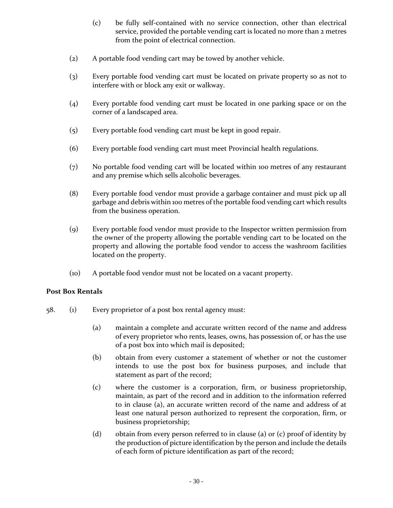- (c) be fully self-contained with no service connection, other than electrical service, provided the portable vending cart is located no more than 2 metres from the point of electrical connection.
- (2) A portable food vending cart may be towed by another vehicle.
- (3) Every portable food vending cart must be located on private property so as not to interfere with or block any exit or walkway.
- (4) Every portable food vending cart must be located in one parking space or on the corner of a landscaped area.
- (5) Every portable food vending cart must be kept in good repair.
- (6) Every portable food vending cart must meet Provincial health regulations.
- (7) No portable food vending cart will be located within 100 metres of any restaurant and any premise which sells alcoholic beverages.
- (8) Every portable food vendor must provide a garbage container and must pick up all garbage and debris within 100 metres of the portable food vending cart which results from the business operation.
- (9) Every portable food vendor must provide to the Inspector written permission from the owner of the property allowing the portable vending cart to be located on the property and allowing the portable food vendor to access the washroom facilities located on the property.
- (10) A portable food vendor must not be located on a vacant property.

### **Post Box Rentals**

- 58. (1) Every proprietor of a post box rental agency must:
	- (a) maintain a complete and accurate written record of the name and address of every proprietor who rents, leases, owns, has possession of, or has the use of a post box into which mail is deposited;
	- (b) obtain from every customer a statement of whether or not the customer intends to use the post box for business purposes, and include that statement as part of the record;
	- (c) where the customer is a corporation, firm, or business proprietorship, maintain, as part of the record and in addition to the information referred to in clause (a), an accurate written record of the name and address of at least one natural person authorized to represent the corporation, firm, or business proprietorship;
	- (d) obtain from every person referred to in clause (a) or (c) proof of identity by the production of picture identification by the person and include the details of each form of picture identification as part of the record;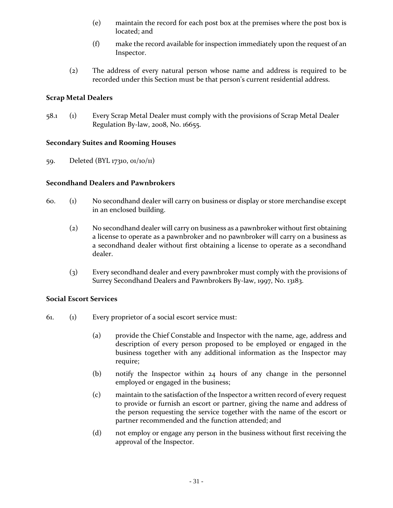- (e) maintain the record for each post box at the premises where the post box is located; and
- (f) make the record available for inspection immediately upon the request of an Inspector.
- (2) The address of every natural person whose name and address is required to be recorded under this Section must be that person's current residential address.

### **Scrap Metal Dealers**

58.1 (1) Every Scrap Metal Dealer must comply with the provisions of Scrap Metal Dealer Regulation By-law, 2008, No. 16655.

#### **Secondary Suites and Rooming Houses**

59. Deleted (BYL 17310, 01/10/11)

#### **Secondhand Dealers and Pawnbrokers**

- 60. (1) No secondhand dealer will carry on business or display or store merchandise except in an enclosed building.
	- (2) No secondhand dealer will carry on business as a pawnbroker without first obtaining a license to operate as a pawnbroker and no pawnbroker will carry on a business as a secondhand dealer without first obtaining a license to operate as a secondhand dealer.
	- (3) Every secondhand dealer and every pawnbroker must comply with the provisions of Surrey Secondhand Dealers and Pawnbrokers By-law, 1997, No. 13183.

### **Social Escort Services**

- 61. (1) Every proprietor of a social escort service must:
	- (a) provide the Chief Constable and Inspector with the name, age, address and description of every person proposed to be employed or engaged in the business together with any additional information as the Inspector may require;
	- (b) notify the Inspector within 24 hours of any change in the personnel employed or engaged in the business;
	- (c) maintain to the satisfaction of the Inspector a written record of every request to provide or furnish an escort or partner, giving the name and address of the person requesting the service together with the name of the escort or partner recommended and the function attended; and
	- (d) not employ or engage any person in the business without first receiving the approval of the Inspector.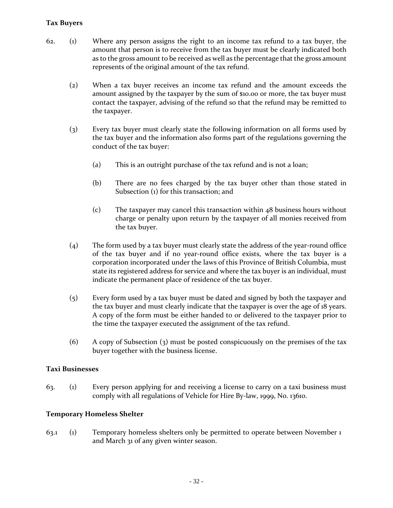### **Tax Buyers**

- 62. (1) Where any person assigns the right to an income tax refund to a tax buyer, the amount that person is to receive from the tax buyer must be clearly indicated both as to the gross amount to be received as well as the percentage that the gross amount represents of the original amount of the tax refund.
	- (2) When a tax buyer receives an income tax refund and the amount exceeds the amount assigned by the taxpayer by the sum of \$10.00 or more, the tax buyer must contact the taxpayer, advising of the refund so that the refund may be remitted to the taxpayer.
	- (3) Every tax buyer must clearly state the following information on all forms used by the tax buyer and the information also forms part of the regulations governing the conduct of the tax buyer:
		- (a) This is an outright purchase of the tax refund and is not a loan;
		- (b) There are no fees charged by the tax buyer other than those stated in Subsection (1) for this transaction; and
		- (c) The taxpayer may cancel this transaction within 48 business hours without charge or penalty upon return by the taxpayer of all monies received from the tax buyer.
	- (4) The form used by a tax buyer must clearly state the address of the year-round office of the tax buyer and if no year-round office exists, where the tax buyer is a corporation incorporated under the laws of this Province of British Columbia, must state its registered address for service and where the tax buyer is an individual, must indicate the permanent place of residence of the tax buyer.
	- (5) Every form used by a tax buyer must be dated and signed by both the taxpayer and the tax buyer and must clearly indicate that the taxpayer is over the age of 18 years. A copy of the form must be either handed to or delivered to the taxpayer prior to the time the taxpayer executed the assignment of the tax refund.
	- (6) A copy of Subsection (3) must be posted conspicuously on the premises of the tax buyer together with the business license.

### **Taxi Businesses**

63. (1) Every person applying for and receiving a license to carry on a taxi business must comply with all regulations of Vehicle for Hire By-law, 1999, No. 13610.

### **Temporary Homeless Shelter**

63.1 (1) Temporary homeless shelters only be permitted to operate between November 1 and March 31 of any given winter season.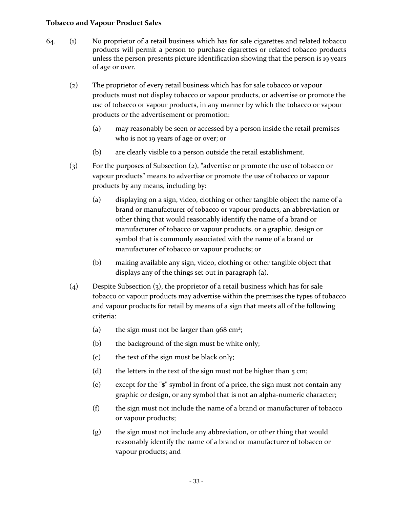### **Tobacco and Vapour Product Sales**

- 64. (1) No proprietor of a retail business which has for sale cigarettes and related tobacco products will permit a person to purchase cigarettes or related tobacco products unless the person presents picture identification showing that the person is 19 years of age or over.
	- (2) The proprietor of every retail business which has for sale tobacco or vapour products must not display tobacco or vapour products, or advertise or promote the use of tobacco or vapour products, in any manner by which the tobacco or vapour products or the advertisement or promotion:
		- (a) may reasonably be seen or accessed by a person inside the retail premises who is not 19 years of age or over; or
		- (b) are clearly visible to a person outside the retail establishment.
	- (3) For the purposes of Subsection (2), "advertise or promote the use of tobacco or vapour products" means to advertise or promote the use of tobacco or vapour products by any means, including by:
		- (a) displaying on a sign, video, clothing or other tangible object the name of a brand or manufacturer of tobacco or vapour products, an abbreviation or other thing that would reasonably identify the name of a brand or manufacturer of tobacco or vapour products, or a graphic, design or symbol that is commonly associated with the name of a brand or manufacturer of tobacco or vapour products; or
		- (b) making available any sign, video, clothing or other tangible object that displays any of the things set out in paragraph (a).
	- (4) Despite Subsection (3), the proprietor of a retail business which has for sale tobacco or vapour products may advertise within the premises the types of tobacco and vapour products for retail by means of a sign that meets all of the following criteria:
		- (a) the sign must not be larger than  $968 \text{ cm}^2$ ;
		- (b) the background of the sign must be white only;
		- (c) the text of the sign must be black only;
		- (d) the letters in the text of the sign must not be higher than  $5 \text{ cm}$ ;
		- (e) except for the "\$" symbol in front of a price, the sign must not contain any graphic or design, or any symbol that is not an alpha-numeric character;
		- (f) the sign must not include the name of a brand or manufacturer of tobacco or vapour products;
		- (g) the sign must not include any abbreviation, or other thing that would reasonably identify the name of a brand or manufacturer of tobacco or vapour products; and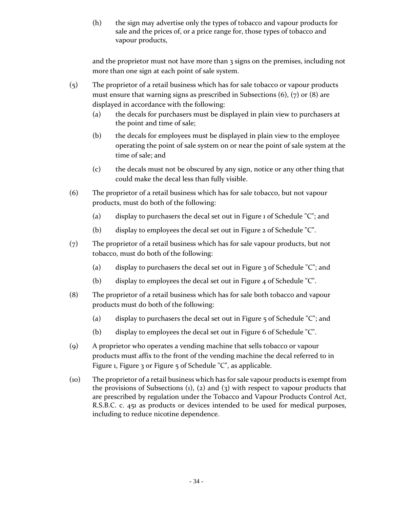(h) the sign may advertise only the types of tobacco and vapour products for sale and the prices of, or a price range for, those types of tobacco and vapour products,

and the proprietor must not have more than 3 signs on the premises, including not more than one sign at each point of sale system.

- (5) The proprietor of a retail business which has for sale tobacco or vapour products must ensure that warning signs as prescribed in Subsections (6), (7) or (8) are displayed in accordance with the following:
	- (a) the decals for purchasers must be displayed in plain view to purchasers at the point and time of sale;
	- (b) the decals for employees must be displayed in plain view to the employee operating the point of sale system on or near the point of sale system at the time of sale; and
	- (c) the decals must not be obscured by any sign, notice or any other thing that could make the decal less than fully visible.
- (6) The proprietor of a retail business which has for sale tobacco, but not vapour products, must do both of the following:
	- (a) display to purchasers the decal set out in Figure 1 of Schedule "C"; and
	- (b) display to employees the decal set out in Figure 2 of Schedule "C".
- (7) The proprietor of a retail business which has for sale vapour products, but not tobacco, must do both of the following:
	- (a) display to purchasers the decal set out in Figure 3 of Schedule "C"; and
	- (b) display to employees the decal set out in Figure 4 of Schedule "C".
- (8) The proprietor of a retail business which has for sale both tobacco and vapour products must do both of the following:
	- (a) display to purchasers the decal set out in Figure 5 of Schedule "C"; and
	- (b) display to employees the decal set out in Figure 6 of Schedule "C".
- (9) A proprietor who operates a vending machine that sells tobacco or vapour products must affix to the front of the vending machine the decal referred to in Figure 1, Figure 3 or Figure 5 of Schedule "C", as applicable.
- (10) The proprietor of a retail business which has for sale vapour products is exempt from the provisions of Subsections  $(1)$ ,  $(2)$  and  $(3)$  with respect to vapour products that are prescribed by regulation under the Tobacco and Vapour Products Control Act, R.S.B.C. c. 451 as products or devices intended to be used for medical purposes, including to reduce nicotine dependence.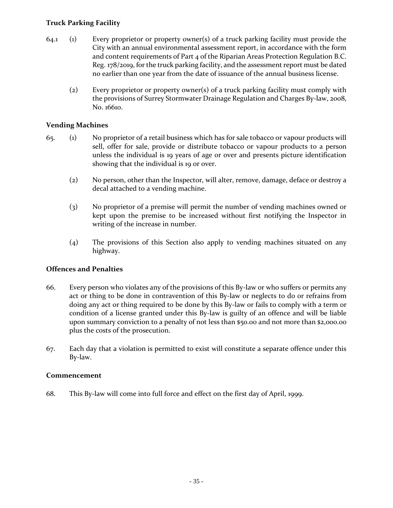# **Truck Parking Facility**

- 64.1 (1) Every proprietor or property owner(s) of a truck parking facility must provide the City with an annual environmental assessment report, in accordance with the form and content requirements of Part 4 of the Riparian Areas Protection Regulation B.C. Reg. 178/2019, for the truck parking facility, and the assessment report must be dated no earlier than one year from the date of issuance of the annual business license.
	- (2) Every proprietor or property owner(s) of a truck parking facility must comply with the provisions of Surrey Stormwater Drainage Regulation and Charges By-law, 2008, No. 16610.

### **Vending Machines**

- 65. (1) No proprietor of a retail business which has for sale tobacco or vapour products will sell, offer for sale, provide or distribute tobacco or vapour products to a person unless the individual is 19 years of age or over and presents picture identification showing that the individual is 19 or over.
	- (2) No person, other than the Inspector, will alter, remove, damage, deface or destroy a decal attached to a vending machine.
	- (3) No proprietor of a premise will permit the number of vending machines owned or kept upon the premise to be increased without first notifying the Inspector in writing of the increase in number.
	- (4) The provisions of this Section also apply to vending machines situated on any highway.

# **Offences and Penalties**

- 66. Every person who violates any of the provisions of this By-law or who suffers or permits any act or thing to be done in contravention of this By-law or neglects to do or refrains from doing any act or thing required to be done by this By-law or fails to comply with a term or condition of a license granted under this By-law is guilty of an offence and will be liable upon summary conviction to a penalty of not less than \$50.00 and not more than \$2,000.00 plus the costs of the prosecution.
- 67. Each day that a violation is permitted to exist will constitute a separate offence under this By-law.

### **Commencement**

68. This By-law will come into full force and effect on the first day of April, 1999.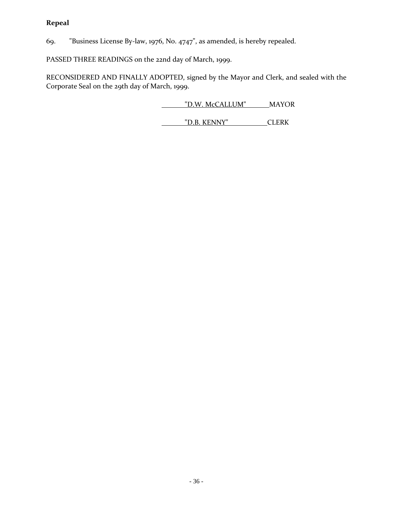# **Repeal**

69. "Business License By-law, 1976, No. 4747", as amended, is hereby repealed.

PASSED THREE READINGS on the 22nd day of March, 1999.

RECONSIDERED AND FINALLY ADOPTED, signed by the Mayor and Clerk, and sealed with the Corporate Seal on the 29th day of March, 1999.

"D.W. McCALLUM" MAYOR

"D.B. KENNY" CLERK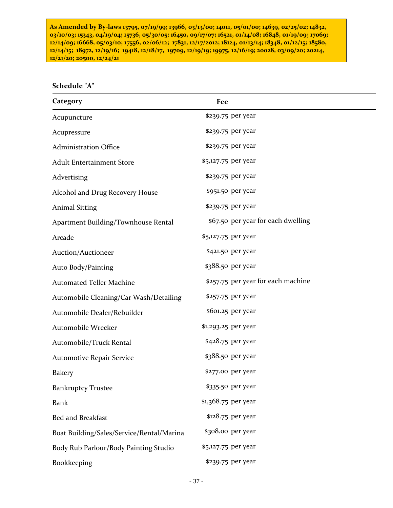**As Amended by By-laws 13795, 07/19/99; 13966, 03/13/00; 14011, 05/01/00; 14639, 02/25/02; 14832, 03/10/03; 15343, 04/19/04; 15736, 05/30/05: 16450, 09/17/07; 16521, 01/14/08; 16848, 01/19/09; 17069; 12/14/09; 16668, 05/03/10; 17556, 02/06/12; 17831, 12/17/2012; 18124, 01/13/14; 18348, 01/12/15; 18580, 12/14/15; 18972, 12/19/16; 19418, 12/18/17, 19709, 12/19/19; 19975, 12/16/19; 20028, 03/09/20; 20214, 12/21/20; 20500, 12/24/21**

| Category                                  | Fee                                |  |
|-------------------------------------------|------------------------------------|--|
| Acupuncture                               | \$239.75 per year                  |  |
| Acupressure                               | \$239.75 per year                  |  |
| <b>Administration Office</b>              | \$239.75 per year                  |  |
| <b>Adult Entertainment Store</b>          | \$5,127.75 per year                |  |
| Advertising                               | \$239.75 per year                  |  |
| Alcohol and Drug Recovery House           | \$951.50 per year                  |  |
| <b>Animal Sitting</b>                     | \$239.75 per year                  |  |
| Apartment Building/Townhouse Rental       | \$67.50 per year for each dwelling |  |
| Arcade                                    | \$5,127.75 per year                |  |
| Auction/Auctioneer                        | \$421.50 per year                  |  |
| Auto Body/Painting                        | \$388.50 per year                  |  |
| <b>Automated Teller Machine</b>           | \$257.75 per year for each machine |  |
| Automobile Cleaning/Car Wash/Detailing    | \$257.75 per year                  |  |
| Automobile Dealer/Rebuilder               | \$601.25 per year                  |  |
| Automobile Wrecker                        | \$1,293.25 per year                |  |
| Automobile/Truck Rental                   | \$428.75 per year                  |  |
| <b>Automotive Repair Service</b>          | \$388.50 per year                  |  |
| <b>Bakery</b>                             | \$277.00 per year                  |  |
| <b>Bankruptcy Trustee</b>                 | \$335.50 per year                  |  |
| <b>Bank</b>                               | \$1,368.75 per year                |  |
| <b>Bed and Breakfast</b>                  | \$128.75 per year                  |  |
| Boat Building/Sales/Service/Rental/Marina | \$308.00 per year                  |  |
| Body Rub Parlour/Body Painting Studio     | \$5,127.75 per year                |  |
| Bookkeeping                               | \$239.75 per year                  |  |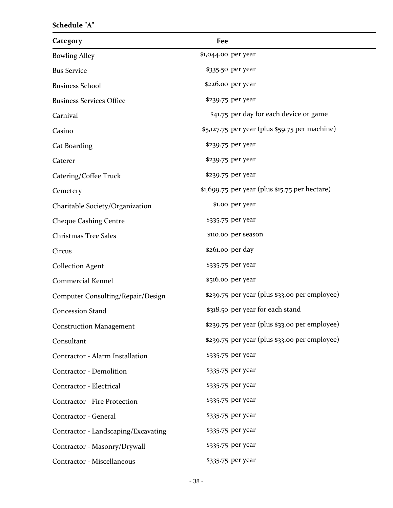| Category                            | Fee                 |                                                |
|-------------------------------------|---------------------|------------------------------------------------|
| <b>Bowling Alley</b>                | \$1,044.00 per year |                                                |
| <b>Bus Service</b>                  |                     | \$335.50 per year                              |
| <b>Business School</b>              |                     | \$226.00 per year                              |
| <b>Business Services Office</b>     |                     | \$239.75 per year                              |
| Carnival                            |                     | \$41.75 per day for each device or game        |
| Casino                              |                     | \$5,127.75 per year (plus \$59.75 per machine) |
| Cat Boarding                        |                     | \$239.75 per year                              |
| Caterer                             |                     | \$239.75 per year                              |
| Catering/Coffee Truck               |                     | \$239.75 per year                              |
| Cemetery                            |                     | \$1,699.75 per year (plus \$15.75 per hectare) |
| Charitable Society/Organization     |                     | \$1.00 per year                                |
| <b>Cheque Cashing Centre</b>        |                     | \$335.75 per year                              |
| <b>Christmas Tree Sales</b>         |                     | \$110.00 per season                            |
| Circus                              |                     | \$261.00 per day                               |
| <b>Collection Agent</b>             |                     | \$335.75 per year                              |
| <b>Commercial Kennel</b>            |                     | \$516.00 per year                              |
| Computer Consulting/Repair/Design   |                     | \$239.75 per year (plus \$33.00 per employee)  |
| <b>Concession Stand</b>             |                     | \$318.50 per year for each stand               |
| <b>Construction Management</b>      |                     | \$239.75 per year (plus \$33.00 per employee)  |
| Consultant                          |                     | \$239.75 per year (plus \$33.00 per employee)  |
| Contractor - Alarm Installation     |                     | \$335.75 per year                              |
| Contractor - Demolition             |                     | \$335.75 per year                              |
| Contractor - Electrical             |                     | \$335.75 per year                              |
| Contractor - Fire Protection        |                     | \$335.75 per year                              |
| Contractor - General                |                     | \$335.75 per year                              |
| Contractor - Landscaping/Excavating |                     | \$335.75 per year                              |
| Contractor - Masonry/Drywall        |                     | \$335.75 per year                              |
| Contractor - Miscellaneous          |                     | \$335.75 per year                              |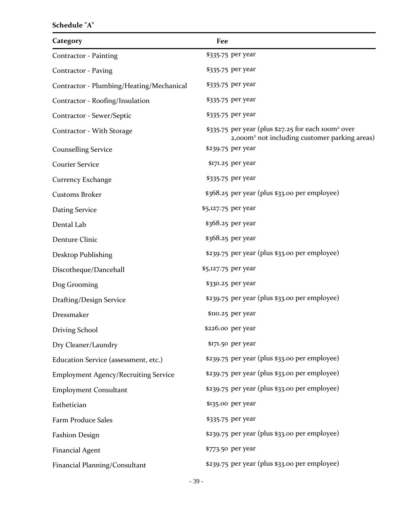**Schedule "A"**

| Category                                    | Fee                                                                                                                          |
|---------------------------------------------|------------------------------------------------------------------------------------------------------------------------------|
| Contractor - Painting                       | \$335.75 per year                                                                                                            |
| Contractor - Paving                         | \$335.75 per year                                                                                                            |
| Contractor - Plumbing/Heating/Mechanical    | \$335.75 per year                                                                                                            |
| Contractor - Roofing/Insulation             | \$335.75 per year                                                                                                            |
| Contractor - Sewer/Septic                   | \$335.75 per year                                                                                                            |
| Contractor - With Storage                   | \$335.75 per year (plus \$27.25 for each 100m <sup>2</sup> over<br>2,000m <sup>2</sup> not including customer parking areas) |
| <b>Counselling Service</b>                  | \$239.75 per year                                                                                                            |
| <b>Courier Service</b>                      | \$171.25 per year                                                                                                            |
| <b>Currency Exchange</b>                    | \$335.75 per year                                                                                                            |
| <b>Customs Broker</b>                       | \$368.25 per year (plus \$33.00 per employee)                                                                                |
| <b>Dating Service</b>                       | \$5,127.75 per year                                                                                                          |
| Dental Lab                                  | \$368.25 per year                                                                                                            |
| <b>Denture Clinic</b>                       | \$368.25 per year                                                                                                            |
| Desktop Publishing                          | \$239.75 per year (plus \$33.00 per employee)                                                                                |
| Discotheque/Dancehall                       | \$5,127.75 per year                                                                                                          |
| Dog Grooming                                | \$330.25 per year                                                                                                            |
| <b>Drafting/Design Service</b>              | \$239.75 per year (plus \$33.00 per employee)                                                                                |
| Dressmaker                                  | \$110.25 per year                                                                                                            |
| Driving School                              | \$226.00 per year                                                                                                            |
| Dry Cleaner/Laundry                         | \$171.50 per year                                                                                                            |
| Education Service (assessment, etc.)        | \$239.75 per year (plus \$33.00 per employee)                                                                                |
| <b>Employment Agency/Recruiting Service</b> | \$239.75 per year (plus \$33.00 per employee)                                                                                |
| <b>Employment Consultant</b>                | \$239.75 per year (plus \$33.00 per employee)                                                                                |
| Esthetician                                 | \$135.00 per year                                                                                                            |
| Farm Produce Sales                          | \$335.75 per year                                                                                                            |
| <b>Fashion Design</b>                       | \$239.75 per year (plus \$33.00 per employee)                                                                                |
| <b>Financial Agent</b>                      | \$773.50 per year                                                                                                            |
| Financial Planning/Consultant               | \$239.75 per year (plus \$33.00 per employee)                                                                                |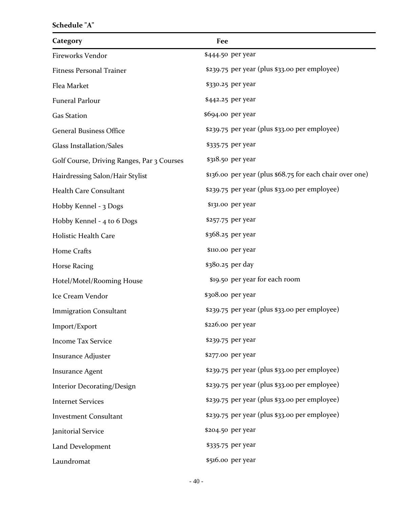**Schedule "A"**

| Category                                   | Fee                                                      |
|--------------------------------------------|----------------------------------------------------------|
| <b>Fireworks Vendor</b>                    | \$444.50 per year                                        |
| <b>Fitness Personal Trainer</b>            | \$239.75 per year (plus \$33.00 per employee)            |
| Flea Market                                | \$330.25 per year                                        |
| Funeral Parlour                            | \$442.25 per year                                        |
| <b>Gas Station</b>                         | \$694.00 per year                                        |
| <b>General Business Office</b>             | \$239.75 per year (plus \$33.00 per employee)            |
| Glass Installation/Sales                   | \$335.75 per year                                        |
| Golf Course, Driving Ranges, Par 3 Courses | \$318.50 per year                                        |
| Hairdressing Salon/Hair Stylist            | \$136.00 per year (plus \$68.75 for each chair over one) |
| <b>Health Care Consultant</b>              | \$239.75 per year (plus \$33.00 per employee)            |
| Hobby Kennel - 3 Dogs                      | \$131.00 per year                                        |
| Hobby Kennel - 4 to 6 Dogs                 | \$257.75 per year                                        |
| <b>Holistic Health Care</b>                | \$368.25 per year                                        |
| Home Crafts                                | \$110.00 per year                                        |
| Horse Racing                               | \$380.25 per day                                         |
| Hotel/Motel/Rooming House                  | \$19.50 per year for each room                           |
| Ice Cream Vendor                           | \$308.00 per year                                        |
| <b>Immigration Consultant</b>              | \$239.75 per year (plus \$33.00 per employee)            |
| Import/Export                              | \$226.00 per year                                        |
| <b>Income Tax Service</b>                  | \$239.75 per year                                        |
| Insurance Adjuster                         | \$277.00 per year                                        |
| <b>Insurance Agent</b>                     | \$239.75 per year (plus \$33.00 per employee)            |
| <b>Interior Decorating/Design</b>          | \$239.75 per year (plus \$33.00 per employee)            |
| <b>Internet Services</b>                   | \$239.75 per year (plus \$33.00 per employee)            |
| <b>Investment Consultant</b>               | \$239.75 per year (plus \$33.00 per employee)            |
| Janitorial Service                         | \$204.50 per year                                        |
| Land Development                           | \$335.75 per year                                        |
| Laundromat                                 | \$516.00 per year                                        |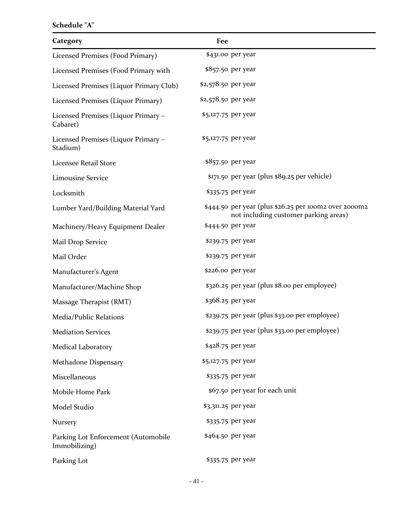| Category                                             | Fee                                                                                            |  |
|------------------------------------------------------|------------------------------------------------------------------------------------------------|--|
| Licensed Premises (Food Primary)                     | \$431.00 per year                                                                              |  |
| Licensed Premises (Food Primary with                 | $$857.50$ per year                                                                             |  |
| Licensed Premises (Liquor Primary Club)              | \$2,578.50 per year                                                                            |  |
| Licensed Premises (Liquor Primary)                   | \$2,578.50 per year                                                                            |  |
| Licensed Premises (Liquor Primary -<br>Cabaret)      | \$5,127.75 per year                                                                            |  |
| Licensed Premises (Liquor Primary -<br>Stadium)      | \$5,127.75 per year                                                                            |  |
| <b>Licensee Retail Store</b>                         | \$857.50 per year                                                                              |  |
| <b>Limousine Service</b>                             | \$171.50 per year (plus \$89.25 per vehicle)                                                   |  |
| Locksmith                                            | \$335.75 per year                                                                              |  |
| Lumber Yard/Building Material Yard                   | \$444.50 per year (plus \$26.25 per 100m2 over 2000m2<br>not including customer parking areas) |  |
| Machinery/Heavy Equipment Dealer                     | \$444.50 per year                                                                              |  |
| <b>Mail Drop Service</b>                             | \$239.75 per year                                                                              |  |
| Mail Order                                           | \$239.75 per year                                                                              |  |
| Manufacturer's Agent                                 | \$226.00 per year                                                                              |  |
| Manufacturer/Machine Shop                            | \$326.25 per year (plus \$8.00 per employee)                                                   |  |
| Massage Therapist (RMT)                              | \$368.25 per year                                                                              |  |
| Media/Public Relations                               | \$239.75 per year (plus \$33.00 per employee)                                                  |  |
| <b>Mediation Services</b>                            | \$239.75 per year (plus \$33.00 per employee)                                                  |  |
| Medical Laboratory                                   | \$428.75 per year                                                                              |  |
| Methadone Dispensary                                 | \$5,127.75 per year                                                                            |  |
| Miscellaneous                                        | \$335.75 per year                                                                              |  |
| Mobile Home Park                                     | \$67.50 per year for each unit                                                                 |  |
| Model Studio                                         | \$3,311.25 per year                                                                            |  |
| Nursery                                              | \$335.75 per year                                                                              |  |
| Parking Lot Enforcement (Automobile<br>Immobilizing) | \$464.50 per year                                                                              |  |
| Parking Lot                                          | \$335.75 per year                                                                              |  |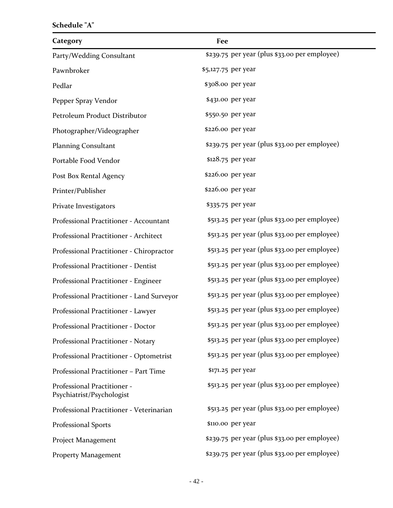| Category                                                 | Fee                 |                                               |
|----------------------------------------------------------|---------------------|-----------------------------------------------|
| Party/Wedding Consultant                                 |                     | \$239.75 per year (plus \$33.00 per employee) |
| Pawnbroker                                               | \$5,127.75 per year |                                               |
| Pedlar                                                   | \$308.00 per year   |                                               |
| Pepper Spray Vendor                                      | \$431.00 per year   |                                               |
| Petroleum Product Distributor                            | \$550.50 per year   |                                               |
| Photographer/Videographer                                | \$226.00 per year   |                                               |
| <b>Planning Consultant</b>                               |                     | \$239.75 per year (plus \$33.00 per employee) |
| Portable Food Vendor                                     | \$128.75 per year   |                                               |
| Post Box Rental Agency                                   | \$226.00 per year   |                                               |
| Printer/Publisher                                        | \$226.00 per year   |                                               |
| Private Investigators                                    | \$335.75 per year   |                                               |
| Professional Practitioner - Accountant                   |                     | \$513.25 per year (plus \$33.00 per employee) |
| Professional Practitioner - Architect                    |                     | \$513.25 per year (plus \$33.00 per employee) |
| Professional Practitioner - Chiropractor                 |                     | \$513.25 per year (plus \$33.00 per employee) |
| Professional Practitioner - Dentist                      |                     | \$513.25 per year (plus \$33.00 per employee) |
| Professional Practitioner - Engineer                     |                     | \$513.25 per year (plus \$33.00 per employee) |
| Professional Practitioner - Land Surveyor                |                     | \$513.25 per year (plus \$33.00 per employee) |
| Professional Practitioner - Lawyer                       |                     | \$513.25 per year (plus \$33.00 per employee) |
| Professional Practitioner - Doctor                       |                     | \$513.25 per year (plus \$33.00 per employee) |
| Professional Practitioner - Notary                       |                     | \$513.25 per year (plus \$33.00 per employee) |
| Professional Practitioner - Optometrist                  |                     | \$513.25 per year (plus \$33.00 per employee) |
| Professional Practitioner - Part Time                    | \$171.25 per year   |                                               |
| Professional Practitioner -<br>Psychiatrist/Psychologist |                     | \$513.25 per year (plus \$33.00 per employee) |
| Professional Practitioner - Veterinarian                 |                     | \$513.25 per year (plus \$33.00 per employee) |
| Professional Sports                                      | \$110.00 per year   |                                               |
| Project Management                                       |                     | \$239.75 per year (plus \$33.00 per employee) |
| <b>Property Management</b>                               |                     | \$239.75 per year (plus \$33.00 per employee) |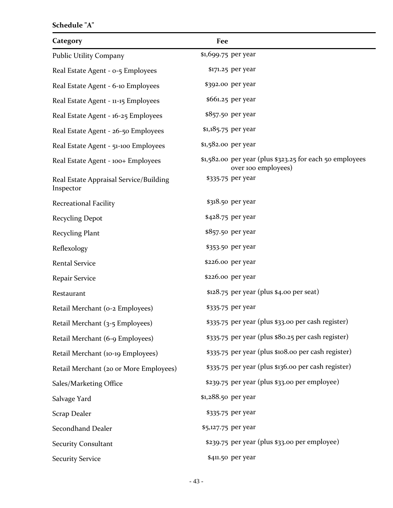**Schedule "A"**

| Category                                            | Fee                 |                                                                                 |
|-----------------------------------------------------|---------------------|---------------------------------------------------------------------------------|
| <b>Public Utility Company</b>                       | \$1,699.75 per year |                                                                                 |
| Real Estate Agent - 0-5 Employees                   |                     | \$171.25 per year                                                               |
| Real Estate Agent - 6-10 Employees                  |                     | \$392.00 per year                                                               |
| Real Estate Agent - 11-15 Employees                 |                     | \$661.25 per year                                                               |
| Real Estate Agent - 16-25 Employees                 |                     | \$857.50 per year                                                               |
| Real Estate Agent - 26-50 Employees                 | \$1,185.75 per year |                                                                                 |
| Real Estate Agent - 51-100 Employees                | \$1,582.00 per year |                                                                                 |
| Real Estate Agent - 100+ Employees                  |                     | \$1,582.00 per year (plus \$323.25 for each 50 employees<br>over 100 employees) |
| Real Estate Appraisal Service/Building<br>Inspector |                     | \$335.75 per year                                                               |
| <b>Recreational Facility</b>                        |                     | \$318.50 per year                                                               |
| <b>Recycling Depot</b>                              |                     | \$428.75 per year                                                               |
| Recycling Plant                                     |                     | \$857.50 per year                                                               |
| Reflexology                                         |                     | \$353.50 per year                                                               |
| <b>Rental Service</b>                               |                     | \$226.00 per year                                                               |
| Repair Service                                      |                     | \$226.00 per year                                                               |
| Restaurant                                          |                     | $$128.75$ per year (plus $$4.00$ per seat)                                      |
| Retail Merchant (o-2 Employees)                     |                     | \$335.75 per year                                                               |
| Retail Merchant (3-5 Employees)                     |                     | \$335.75 per year (plus \$33.00 per cash register)                              |
| Retail Merchant (6-9 Employees)                     |                     | \$335.75 per year (plus \$80.25 per cash register)                              |
| Retail Merchant (10-19 Employees)                   |                     | \$335.75 per year (plus \$108.00 per cash register)                             |
| Retail Merchant (20 or More Employees)              |                     | \$335.75 per year (plus \$136.00 per cash register)                             |
| Sales/Marketing Office                              |                     | \$239.75 per year (plus \$33.00 per employee)                                   |
| Salvage Yard                                        | \$1,288.50 per year |                                                                                 |
| Scrap Dealer                                        |                     | \$335.75 per year                                                               |
| Secondhand Dealer                                   | \$5,127.75 per year |                                                                                 |
| <b>Security Consultant</b>                          |                     | \$239.75 per year (plus \$33.00 per employee)                                   |
| <b>Security Service</b>                             |                     | \$411.50 per year                                                               |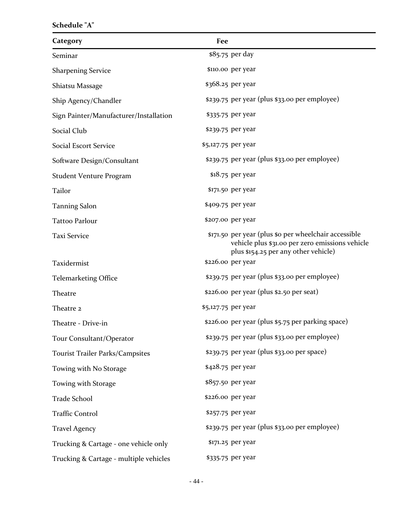| Category                               | Fee                 |                                                                                                                                                  |
|----------------------------------------|---------------------|--------------------------------------------------------------------------------------------------------------------------------------------------|
| Seminar                                | \$85.75 per day     |                                                                                                                                                  |
| <b>Sharpening Service</b>              | \$110.00 per year   |                                                                                                                                                  |
| Shiatsu Massage                        | \$368.25 per year   |                                                                                                                                                  |
| Ship Agency/Chandler                   |                     | \$239.75 per year (plus \$33.00 per employee)                                                                                                    |
| Sign Painter/Manufacturer/Installation | \$335.75 per year   |                                                                                                                                                  |
| Social Club                            | \$239.75 per year   |                                                                                                                                                  |
| <b>Social Escort Service</b>           | \$5,127.75 per year |                                                                                                                                                  |
| Software Design/Consultant             |                     | \$239.75 per year (plus \$33.00 per employee)                                                                                                    |
| <b>Student Venture Program</b>         | \$18.75 per year    |                                                                                                                                                  |
| Tailor                                 | \$171.50 per year   |                                                                                                                                                  |
| <b>Tanning Salon</b>                   | \$409.75 per year   |                                                                                                                                                  |
| Tattoo Parlour                         | \$207.00 per year   |                                                                                                                                                  |
| <b>Taxi Service</b>                    |                     | \$171.50 per year (plus \$0 per wheelchair accessible<br>vehicle plus \$31.00 per zero emissions vehicle<br>plus \$154.25 per any other vehicle) |
| Taxidermist                            | \$226.00 per year   |                                                                                                                                                  |
| <b>Telemarketing Office</b>            |                     | \$239.75 per year (plus \$33.00 per employee)                                                                                                    |
| Theatre                                |                     | \$226.00 per year (plus \$2.50 per seat)                                                                                                         |
| Theatre 2                              | \$5,127.75 per year |                                                                                                                                                  |
| Theatre - Drive-in                     |                     | \$226.00 per year (plus \$5.75 per parking space)                                                                                                |
| Tour Consultant/Operator               |                     | \$239.75 per year (plus \$33.00 per employee)                                                                                                    |
| <b>Tourist Trailer Parks/Campsites</b> |                     | \$239.75 per year (plus \$33.00 per space)                                                                                                       |
| Towing with No Storage                 | \$428.75 per year   |                                                                                                                                                  |
| Towing with Storage                    | \$857.50 per year   |                                                                                                                                                  |
| Trade School                           | \$226.00 per year   |                                                                                                                                                  |
| <b>Traffic Control</b>                 | \$257.75 per year   |                                                                                                                                                  |
| <b>Travel Agency</b>                   |                     | \$239.75 per year (plus \$33.00 per employee)                                                                                                    |
| Trucking & Cartage - one vehicle only  | \$171.25 per year   |                                                                                                                                                  |
| Trucking & Cartage - multiple vehicles | \$335.75 per year   |                                                                                                                                                  |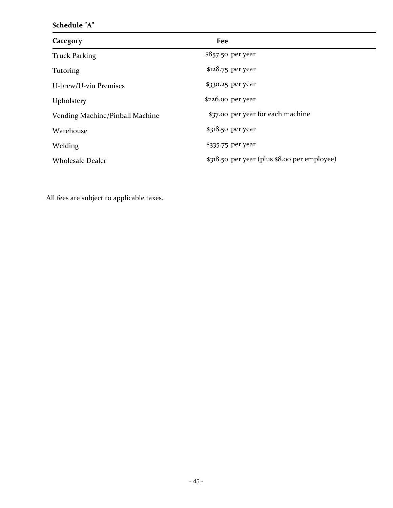| Category                        | Fee                                          |
|---------------------------------|----------------------------------------------|
| <b>Truck Parking</b>            | $$857.50$ per year                           |
| Tutoring                        | $$128.75$ per year                           |
| U-brew/U-vin Premises           | \$330.25 per year                            |
| Upholstery                      | $$226.00$ per year                           |
| Vending Machine/Pinball Machine | \$37.00 per year for each machine            |
| Warehouse                       | \$318.50 per year                            |
| Welding                         | \$335.75 per year                            |
| <b>Wholesale Dealer</b>         | \$318.50 per year (plus \$8.00 per employee) |

All fees are subject to applicable taxes.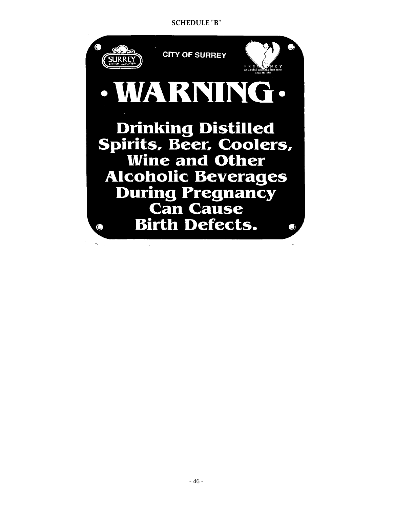### **SCHEDULE "B"**

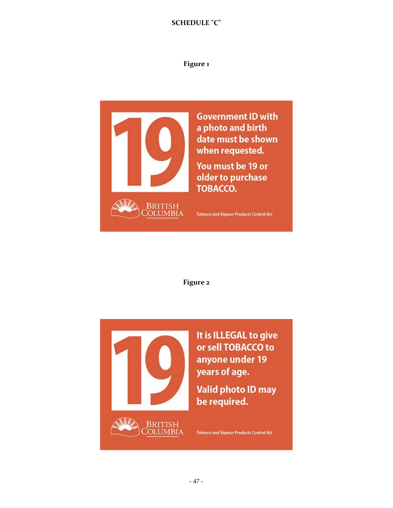### **SCHEDULE "C"**

# **Figure 1**



**Government ID with** a photo and birth date must be shown when requested.

You must be 19 or older to purchase **TOBACCO.** 

**Tobacco and Vapour Products Control Act** 

### **Figure 2**



It is ILLEGAL to give or sell TOBACCO to anyone under 19 years of age.

**Valid photo ID may** be required.

**Tobacco and Vapour Products Control Act**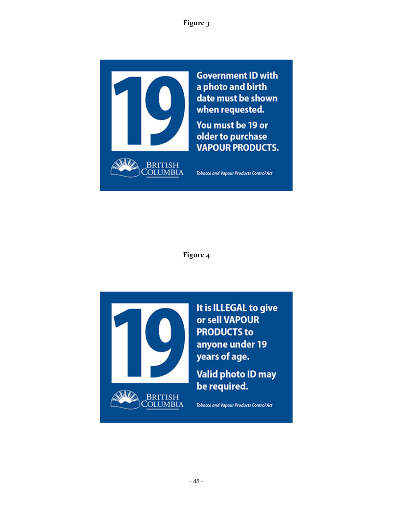**Figure 3**



**Figure 4**